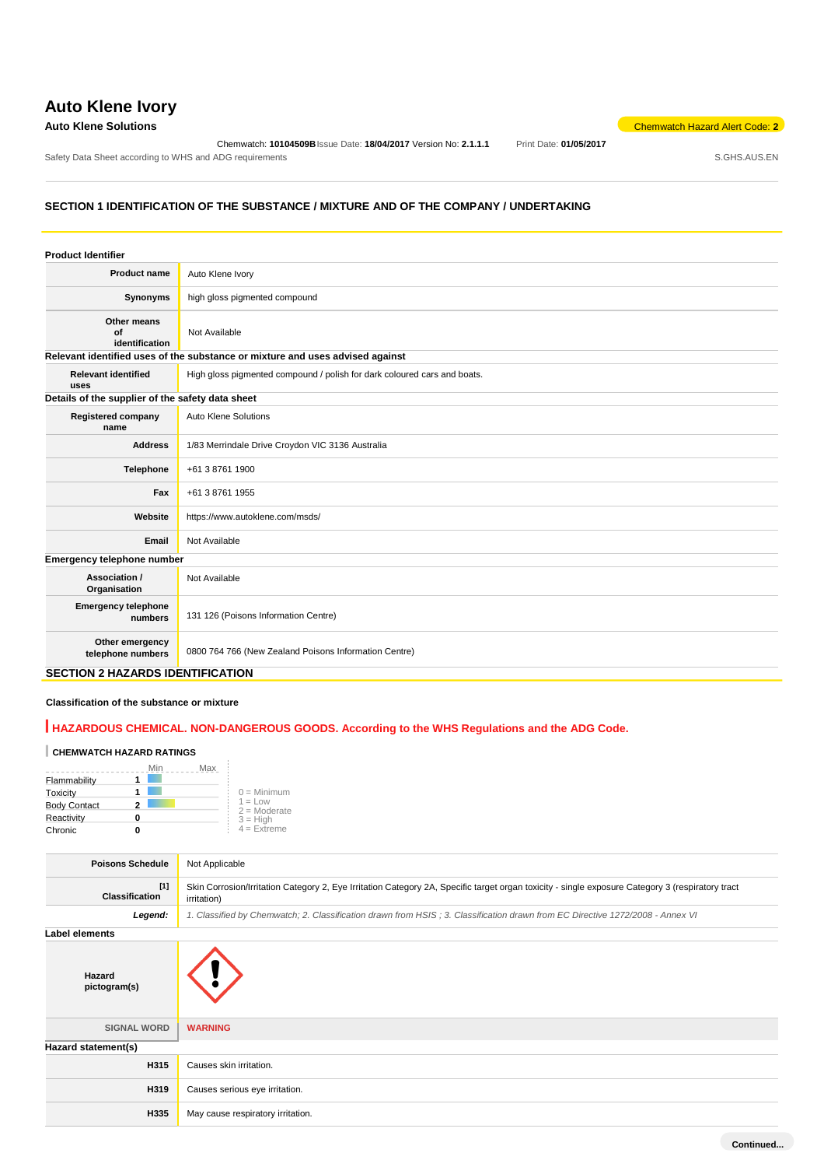# **Auto Klene Ivory**

**Auto Klene Solutions** Chemwatch Hazard Alert Code: **2** 

Chemwatch: **10104509B**Issue Date: **18/04/2017** Version No: **2.1.1.1** Print Date: **01/05/2017** Safety Data Sheet according to WHS and ADG requirements **Safety Data Sheet according to WHS** and ADG requirements

# **SECTION 1 IDENTIFICATION OF THE SUBSTANCE / MIXTURE AND OF THE COMPANY / UNDERTAKING**

| <b>Product Identifier</b>                        |                                                                               |
|--------------------------------------------------|-------------------------------------------------------------------------------|
| <b>Product name</b>                              | Auto Klene Ivory                                                              |
| Synonyms                                         | high gloss pigmented compound                                                 |
| Other means<br>Ωf<br>identification              | Not Available                                                                 |
|                                                  | Relevant identified uses of the substance or mixture and uses advised against |
| <b>Relevant identified</b><br>uses               | High gloss pigmented compound / polish for dark coloured cars and boats.      |
| Details of the supplier of the safety data sheet |                                                                               |
| <b>Registered company</b><br>name                | Auto Klene Solutions                                                          |
| <b>Address</b>                                   | 1/83 Merrindale Drive Croydon VIC 3136 Australia                              |
| <b>Telephone</b>                                 | +61 3 8761 1900                                                               |
| Fax                                              | +61 3 8761 1955                                                               |
| Website                                          | https://www.autoklene.com/msds/                                               |
| Email                                            | Not Available                                                                 |
| Emergency telephone number                       |                                                                               |
| Association /<br>Organisation                    | Not Available                                                                 |
| <b>Emergency telephone</b><br>numbers            | 131 126 (Poisons Information Centre)                                          |
| Other emergency<br>telephone numbers             | 0800 764 766 (New Zealand Poisons Information Centre)<br>---------------      |

# **SECTION 2 HAZARDS IDENTIFICATION**

## **Classification of the substance or mixture**

# **HAZARDOUS CHEMICAL. NON-DANGEROUS GOODS. According to the WHS Regulations and the ADG Code.**

# **CHEMWATCH HAZARD RATINGS**

|                     | Max<br>Min |                             |
|---------------------|------------|-----------------------------|
| Flammability        |            |                             |
| Toxicity            |            | $0 =$ Minimum               |
| <b>Body Contact</b> |            | $1 = Low$<br>$2 =$ Moderate |
| Reactivity          |            | $3 = High$                  |
| Chronic             |            | $4 =$ Extreme               |

| <b>Poisons Schedule</b>        | Not Applicable                                                                                                                                                  |  |  |  |
|--------------------------------|-----------------------------------------------------------------------------------------------------------------------------------------------------------------|--|--|--|
| $[1]$<br><b>Classification</b> | Skin Corrosion/Irritation Category 2, Eye Irritation Category 2A, Specific target organ toxicity - single exposure Category 3 (respiratory tract<br>irritation) |  |  |  |
| Legend:                        | 1. Classified by Chemwatch; 2. Classification drawn from HSIS; 3. Classification drawn from EC Directive 1272/2008 - Annex VI                                   |  |  |  |
| Label elements                 |                                                                                                                                                                 |  |  |  |
| Hazard<br>pictogram(s)         |                                                                                                                                                                 |  |  |  |
| <b>SIGNAL WORD</b>             | <b>WARNING</b>                                                                                                                                                  |  |  |  |
| Hazard statement(s)            |                                                                                                                                                                 |  |  |  |
| H315                           | Causes skin irritation.                                                                                                                                         |  |  |  |
| H319                           | Causes serious eye irritation.                                                                                                                                  |  |  |  |
| H335                           | May cause respiratory irritation.                                                                                                                               |  |  |  |
|                                |                                                                                                                                                                 |  |  |  |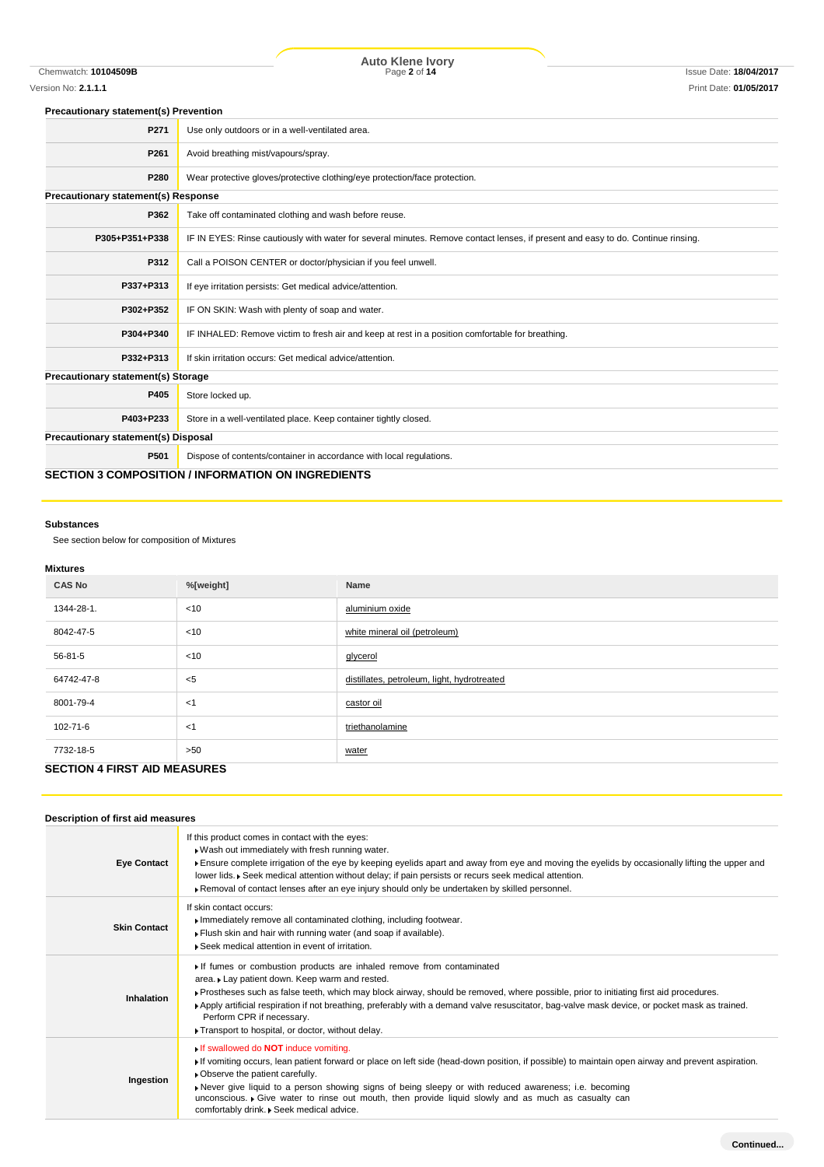Chemwatch: **10104509B** Page **2** of **14** Issue Date: **18/04/2017 Auto Klene Ivory**

### **Precautionary statement(s) Prevention**

| P271                                       | Use only outdoors or in a well-ventilated area.                                                                                  |
|--------------------------------------------|----------------------------------------------------------------------------------------------------------------------------------|
| P261                                       | Avoid breathing mist/vapours/spray.                                                                                              |
| P280                                       | Wear protective gloves/protective clothing/eye protection/face protection.                                                       |
| <b>Precautionary statement(s) Response</b> |                                                                                                                                  |
| P362                                       | Take off contaminated clothing and wash before reuse.                                                                            |
| P305+P351+P338                             | IF IN EYES: Rinse cautiously with water for several minutes. Remove contact lenses, if present and easy to do. Continue rinsing. |
| P312                                       | Call a POISON CENTER or doctor/physician if you feel unwell.                                                                     |
| P337+P313                                  | If eye irritation persists: Get medical advice/attention.                                                                        |
| P302+P352                                  | IF ON SKIN: Wash with plenty of soap and water.                                                                                  |
| P304+P340                                  | IF INHALED: Remove victim to fresh air and keep at rest in a position comfortable for breathing.                                 |
| P332+P313                                  | If skin irritation occurs: Get medical advice/attention.                                                                         |
| Precautionary statement(s) Storage         |                                                                                                                                  |
| P405                                       | Store locked up.                                                                                                                 |
| P403+P233                                  | Store in a well-ventilated place. Keep container tightly closed.                                                                 |
| Precautionary statement(s) Disposal        |                                                                                                                                  |
| P501                                       | Dispose of contents/container in accordance with local regulations.                                                              |
|                                            | <b>SECTION 3 COMPOSITION / INFORMATION ON INGREDIENTS</b>                                                                        |

### **Substances**

See section below for composition of Mixtures

### **Mixtures**

| <b>CAS No</b>                       | %[weight] | Name                                        |
|-------------------------------------|-----------|---------------------------------------------|
| 1344-28-1.                          | $<$ 10    | aluminium oxide                             |
| 8042-47-5                           | $<$ 10    | white mineral oil (petroleum)               |
| 56-81-5                             | $<$ 10    | glycerol                                    |
| 64742-47-8                          | $5$       | distillates, petroleum, light, hydrotreated |
| 8001-79-4                           | $<$ 1     | castor oil                                  |
| 102-71-6                            | $<$ 1     | triethanolamine                             |
| 7732-18-5                           | >50       | water                                       |
| <b>SECTION 4 FIRST AID MEASURES</b> |           |                                             |

# **Description of first aid measures**

| <b>Eye Contact</b>  | If this product comes in contact with the eyes:<br>. Wash out immediately with fresh running water.<br>Fisure complete irrigation of the eye by keeping eyelids apart and away from eye and moving the eyelids by occasionally lifting the upper and<br>lower lids. • Seek medical attention without delay; if pain persists or recurs seek medical attention.<br>▶ Removal of contact lenses after an eye injury should only be undertaken by skilled personnel.                                   |
|---------------------|-----------------------------------------------------------------------------------------------------------------------------------------------------------------------------------------------------------------------------------------------------------------------------------------------------------------------------------------------------------------------------------------------------------------------------------------------------------------------------------------------------|
| <b>Skin Contact</b> | If skin contact occurs:<br>Immediately remove all contaminated clothing, including footwear.<br>Flush skin and hair with running water (and soap if available).<br>▶ Seek medical attention in event of irritation.                                                                                                                                                                                                                                                                                 |
| Inhalation          | If fumes or combustion products are inhaled remove from contaminated<br>area. Lay patient down. Keep warm and rested.<br>▶ Prostheses such as false teeth, which may block airway, should be removed, where possible, prior to initiating first aid procedures.<br>▶ Apply artificial respiration if not breathing, preferably with a demand valve resuscitator, bag-valve mask device, or pocket mask as trained.<br>Perform CPR if necessary.<br>Transport to hospital, or doctor, without delay. |
| Ingestion           | <b>If swallowed do NOT induce vomiting.</b><br>If vomiting occurs, lean patient forward or place on left side (head-down position, if possible) to maintain open airway and prevent aspiration.<br>• Observe the patient carefully.<br>Never give liquid to a person showing signs of being sleepy or with reduced awareness; i.e. becoming<br>unconscious. Give water to rinse out mouth, then provide liquid slowly and as much as casualty can<br>comfortably drink. • Seek medical advice.      |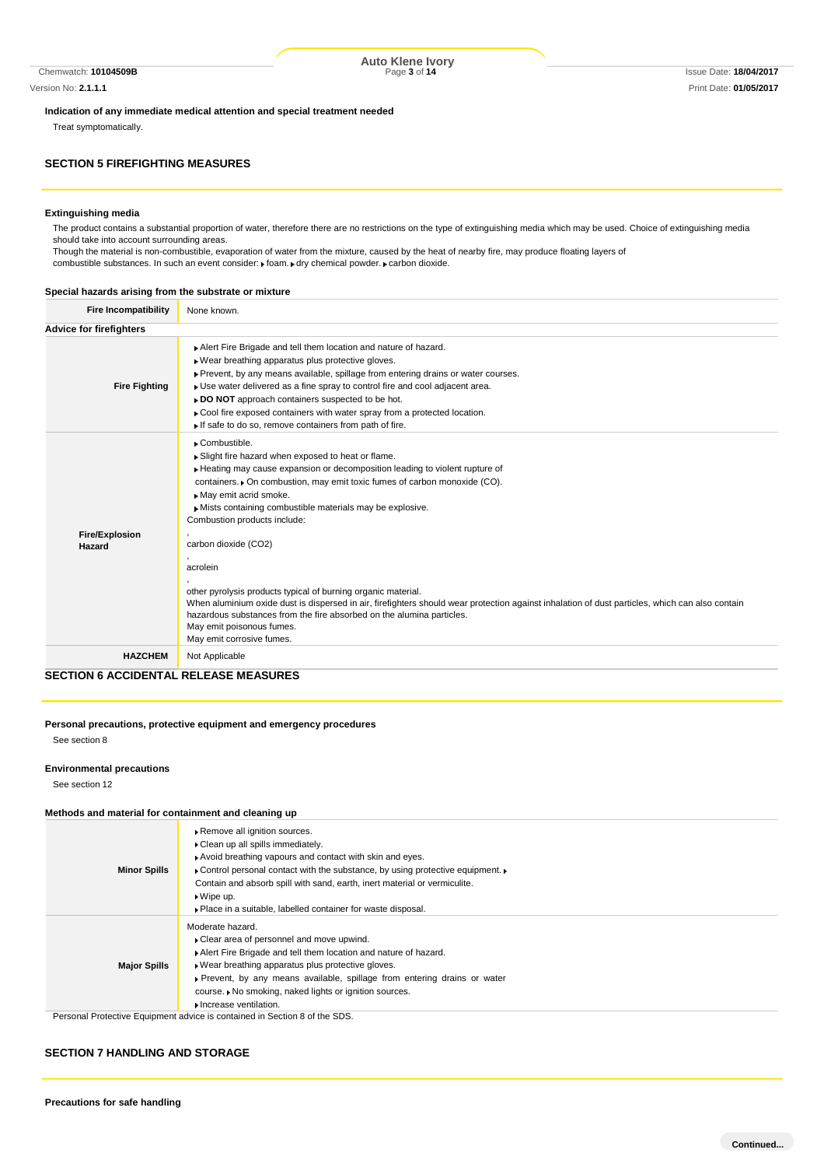Chemwatch: **10104509B** Page **3** of **14** Issue Date: **18/04/2017 Auto Klene Ivory**

### **Indication of any immediate medical attention and special treatment needed**

Treat symptomatically.

# **SECTION 5 FIREFIGHTING MEASURES**

### **Extinguishing media**

The product contains a substantial proportion of water, therefore there are no restrictions on the type of extinguishing media which may be used. Choice of extinguishing media should take into account surrounding areas.

Though the material is non-combustible, evaporation of water from the mixture, caused by the heat of nearby fire, may produce floating layers of combustible substances. In such an event consider:  $\mathbf r$  foam.  $\mathbf r$  dry chemical powder.  $\mathbf r$  carbon dioxide.

### **Special hazards arising from the substrate or mixture**

| <b>Fire Incompatibility</b>     | None known.                                                                                                                                                                                                                                                                                                                                                                                                                                                                               |
|---------------------------------|-------------------------------------------------------------------------------------------------------------------------------------------------------------------------------------------------------------------------------------------------------------------------------------------------------------------------------------------------------------------------------------------------------------------------------------------------------------------------------------------|
| <b>Advice for firefighters</b>  |                                                                                                                                                                                                                                                                                                                                                                                                                                                                                           |
| <b>Fire Fighting</b>            | Alert Fire Brigade and tell them location and nature of hazard.<br>. Wear breathing apparatus plus protective gloves.<br>▶ Prevent, by any means available, spillage from entering drains or water courses.<br>• Use water delivered as a fine spray to control fire and cool adjacent area.<br>► DO NOT approach containers suspected to be hot.<br>• Cool fire exposed containers with water spray from a protected location.<br>If safe to do so, remove containers from path of fire. |
| <b>Fire/Explosion</b><br>Hazard | • Combustible.<br>Slight fire hazard when exposed to heat or flame.<br>Heating may cause expansion or decomposition leading to violent rupture of<br>containers. • On combustion, may emit toxic fumes of carbon monoxide (CO).<br>May emit acrid smoke.<br>Mists containing combustible materials may be explosive.<br>Combustion products include:<br>carbon dioxide (CO2)<br>acrolein                                                                                                  |
|                                 | other pyrolysis products typical of burning organic material.<br>When aluminium oxide dust is dispersed in air, firefighters should wear protection against inhalation of dust particles, which can also contain<br>hazardous substances from the fire absorbed on the alumina particles.<br>May emit poisonous fumes.<br>May emit corrosive fumes.                                                                                                                                       |
| <b>HAZCHEM</b>                  | Not Applicable                                                                                                                                                                                                                                                                                                                                                                                                                                                                            |

**SECTION 6 ACCIDENTAL RELEASE MEASURES**

### **Personal precautions, protective equipment and emergency procedures** See section 8

#### **Environmental precautions**

See section 12

### **Methods and material for containment and cleaning up**

| <b>Minor Spills</b> | Remove all ignition sources.<br>Clean up all spills immediately.<br>Avoid breathing vapours and contact with skin and eyes.<br>• Control personal contact with the substance, by using protective equipment. •<br>Contain and absorb spill with sand, earth, inert material or vermiculite.<br>$\triangleright$ Wipe up.<br>▶ Place in a suitable, labelled container for waste disposal. |
|---------------------|-------------------------------------------------------------------------------------------------------------------------------------------------------------------------------------------------------------------------------------------------------------------------------------------------------------------------------------------------------------------------------------------|
| <b>Major Spills</b> | Moderate hazard.<br>Clear area of personnel and move upwind.<br>Alert Fire Brigade and tell them location and nature of hazard.<br>► Wear breathing apparatus plus protective gloves.<br>• Prevent, by any means available, spillage from entering drains or water<br>course. ▶ No smoking, naked lights or ignition sources.<br>Increase ventilation.                                    |
|                     | Personal Protective Equipment advice is contained in Section 8 of the SDS.                                                                                                                                                                                                                                                                                                                |

### **SECTION 7 HANDLING AND STORAGE**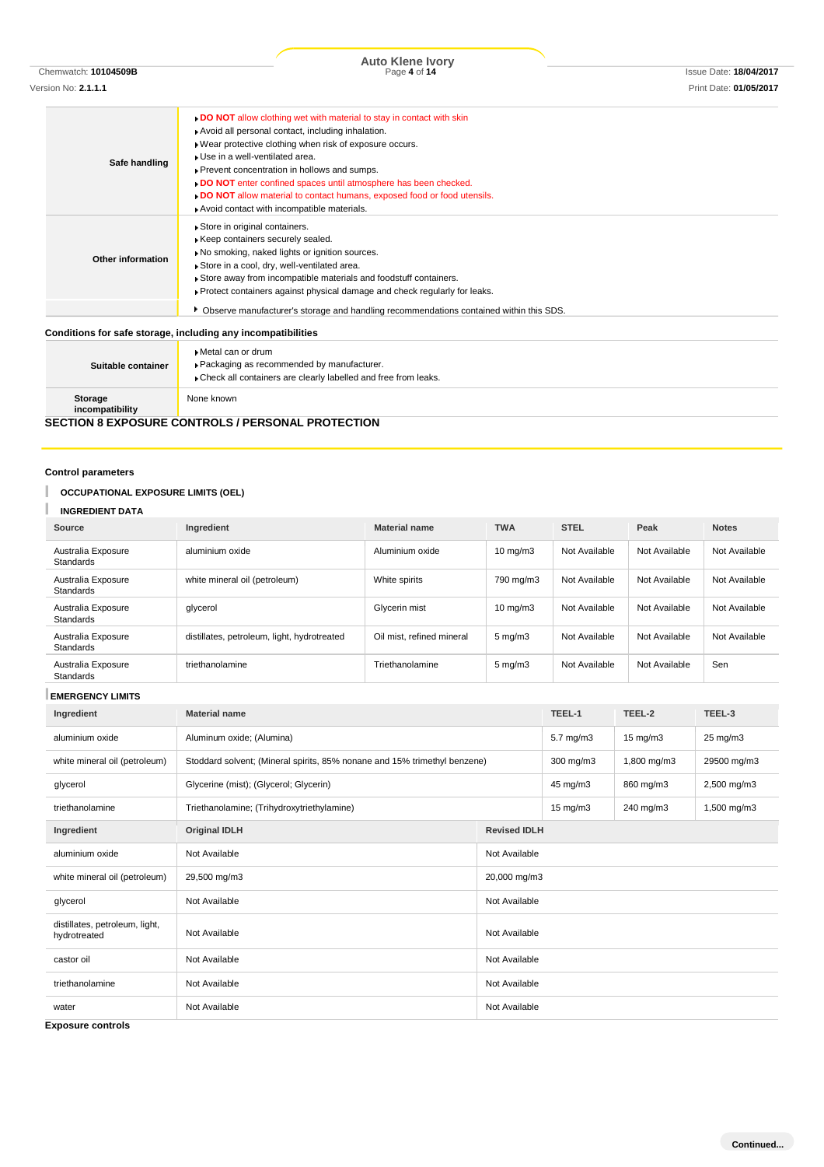|                          | . DO NOT allow clothing wet with material to stay in contact with skin                   |
|--------------------------|------------------------------------------------------------------------------------------|
|                          | Avoid all personal contact, including inhalation.                                        |
|                          | . Wear protective clothing when risk of exposure occurs.                                 |
|                          | Use in a well-ventilated area.                                                           |
| Safe handling            | Prevent concentration in hollows and sumps.                                              |
|                          | DO NOT enter confined spaces until atmosphere has been checked.                          |
|                          | . DO NOT allow material to contact humans, exposed food or food utensils.                |
|                          | Avoid contact with incompatible materials.                                               |
|                          | Store in original containers.                                                            |
|                          | Keep containers securely sealed.                                                         |
|                          | No smoking, naked lights or ignition sources.                                            |
| <b>Other information</b> | Store in a cool, dry, well-ventilated area.                                              |
|                          | Store away from incompatible materials and foodstuff containers.                         |
|                          | ▶ Protect containers against physical damage and check regularly for leaks.              |
|                          | • Observe manufacturer's storage and handling recommendations contained within this SDS. |
|                          |                                                                                          |
|                          | Conditions for safe storage, including any incompatibilities                             |
|                          | ▶ Metal can or drum                                                                      |
|                          | De else also el en un en en en els el est les renominats en en                           |

| Suitable container                                       | ▶ Metal can or drum<br>▶ Packaging as recommended by manufacturer.<br>Check all containers are clearly labelled and free from leaks. |  |  |
|----------------------------------------------------------|--------------------------------------------------------------------------------------------------------------------------------------|--|--|
| Storage<br>incompatibility                               | None known                                                                                                                           |  |  |
| <b>SECTION 8 EXPOSURE CONTROLS / PERSONAL PROTECTION</b> |                                                                                                                                      |  |  |

# **Control parameters**

I

# **OCCUPATIONAL EXPOSURE LIMITS (OEL)**

# **INGREDIENT DATA**

| Source                                 | Ingredient                                  | <b>Material name</b>      | <b>TWA</b>         | <b>STEL</b>   | Peak          | <b>Notes</b>  |
|----------------------------------------|---------------------------------------------|---------------------------|--------------------|---------------|---------------|---------------|
| Australia Exposure<br><b>Standards</b> | aluminium oxide                             | Aluminium oxide           | $10 \text{ mg/m}$  | Not Available | Not Available | Not Available |
| Australia Exposure<br><b>Standards</b> | white mineral oil (petroleum)               | White spirits             | 790 mg/m3          | Not Available | Not Available | Not Available |
| Australia Exposure<br><b>Standards</b> | glycerol                                    | Glycerin mist             | $10 \text{ mg/m}$  | Not Available | Not Available | Not Available |
| Australia Exposure<br><b>Standards</b> | distillates, petroleum, light, hydrotreated | Oil mist, refined mineral | $5 \text{ mg/m}$ 3 | Not Available | Not Available | Not Available |
| Australia Exposure<br><b>Standards</b> | triethanolamine                             | Triethanolamine           | $5 \text{ mg/m}$   | Not Available | Not Available | Sen           |

# **EMERGENCY LIMITS**

| Ingredient                                     | <b>Material name</b>                                                      |                     | TEEL-1               | TEEL-2            | TEEL-3      |
|------------------------------------------------|---------------------------------------------------------------------------|---------------------|----------------------|-------------------|-------------|
| aluminium oxide                                | Aluminum oxide; (Alumina)                                                 |                     | $5.7 \text{ mg/m}$ 3 | $15 \text{ mg/m}$ | 25 mg/m3    |
| white mineral oil (petroleum)                  | Stoddard solvent; (Mineral spirits, 85% nonane and 15% trimethyl benzene) |                     | $300$ mg/m $3$       | 1,800 mg/m3       | 29500 mg/m3 |
| glycerol                                       | Glycerine (mist); (Glycerol; Glycerin)                                    |                     | 45 mg/m3             | 860 mg/m3         | 2,500 mg/m3 |
| triethanolamine                                | Triethanolamine; (Trihydroxytriethylamine)                                |                     | $15 \text{ mg/m}$    | 240 mg/m3         | 1,500 mg/m3 |
| Ingredient                                     | <b>Original IDLH</b>                                                      | <b>Revised IDLH</b> |                      |                   |             |
| aluminium oxide                                | Not Available                                                             | Not Available       |                      |                   |             |
| white mineral oil (petroleum)                  | 29,500 mg/m3<br>20,000 mg/m3                                              |                     |                      |                   |             |
| glycerol                                       | Not Available<br>Not Available                                            |                     |                      |                   |             |
| distillates, petroleum, light,<br>hydrotreated | Not Available                                                             | Not Available       |                      |                   |             |
| castor oil                                     | Not Available                                                             | Not Available       |                      |                   |             |
| triethanolamine                                | Not Available                                                             | Not Available       |                      |                   |             |
| water                                          | Not Available                                                             | Not Available       |                      |                   |             |

**Exposure controls**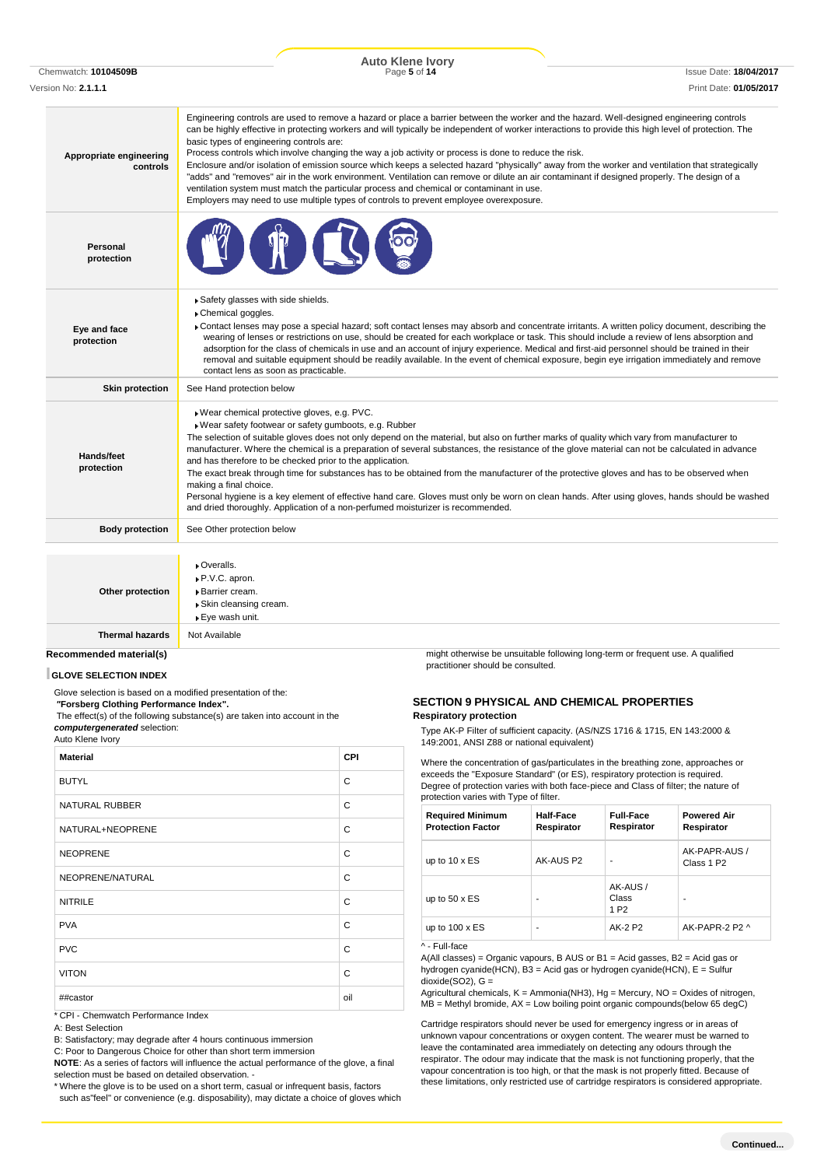Chemwatch: **10104509B** Page **5** of **14** Issue Date: **18/04/2017 Auto Klene Ivory** Version No: **2.1.1.1** Print Date: **01/05/2017**

| Appropriate engineering<br>controls | Engineering controls are used to remove a hazard or place a barrier between the worker and the hazard. Well-designed engineering controls<br>can be highly effective in protecting workers and will typically be independent of worker interactions to provide this high level of protection. The<br>basic types of engineering controls are:<br>Process controls which involve changing the way a job activity or process is done to reduce the risk.<br>Enclosure and/or isolation of emission source which keeps a selected hazard "physically" away from the worker and ventilation that strategically<br>"adds" and "removes" air in the work environment. Ventilation can remove or dilute an air contaminant if designed properly. The design of a<br>ventilation system must match the particular process and chemical or contaminant in use.<br>Employers may need to use multiple types of controls to prevent employee overexposure. |
|-------------------------------------|-------------------------------------------------------------------------------------------------------------------------------------------------------------------------------------------------------------------------------------------------------------------------------------------------------------------------------------------------------------------------------------------------------------------------------------------------------------------------------------------------------------------------------------------------------------------------------------------------------------------------------------------------------------------------------------------------------------------------------------------------------------------------------------------------------------------------------------------------------------------------------------------------------------------------------------------------|
| Personal<br>protection              |                                                                                                                                                                                                                                                                                                                                                                                                                                                                                                                                                                                                                                                                                                                                                                                                                                                                                                                                                 |
| Eye and face<br>protection          | Safety glasses with side shields.<br>Chemical goggles.<br>► Contact lenses may pose a special hazard; soft contact lenses may absorb and concentrate irritants. A written policy document, describing the<br>wearing of lenses or restrictions on use, should be created for each workplace or task. This should include a review of lens absorption and<br>adsorption for the class of chemicals in use and an account of injury experience. Medical and first-aid personnel should be trained in their<br>removal and suitable equipment should be readily available. In the event of chemical exposure, begin eye irrigation immediately and remove<br>contact lens as soon as practicable.                                                                                                                                                                                                                                                  |
| <b>Skin protection</b>              | See Hand protection below                                                                                                                                                                                                                                                                                                                                                                                                                                                                                                                                                                                                                                                                                                                                                                                                                                                                                                                       |
| Hands/feet<br>protection            | Wear chemical protective gloves, e.g. PVC.<br>· Wear safety footwear or safety gumboots, e.g. Rubber<br>The selection of suitable gloves does not only depend on the material, but also on further marks of quality which vary from manufacturer to<br>manufacturer. Where the chemical is a preparation of several substances, the resistance of the glove material can not be calculated in advance<br>and has therefore to be checked prior to the application.<br>The exact break through time for substances has to be obtained from the manufacturer of the protective gloves and has to be observed when<br>making a final choice.<br>Personal hygiene is a key element of effective hand care. Gloves must only be worn on clean hands. After using gloves, hands should be washed<br>and dried thoroughly. Application of a non-perfumed moisturizer is recommended.                                                                   |
| <b>Body protection</b>              | See Other protection below                                                                                                                                                                                                                                                                                                                                                                                                                                                                                                                                                                                                                                                                                                                                                                                                                                                                                                                      |
| Other protection                    | Overalls.<br>P.V.C. apron.<br>Barrier cream.<br>▶ Skin cleansing cream.<br>▶ Eye wash unit.                                                                                                                                                                                                                                                                                                                                                                                                                                                                                                                                                                                                                                                                                                                                                                                                                                                     |
| <b>Thermal hazards</b>              | Not Available                                                                                                                                                                                                                                                                                                                                                                                                                                                                                                                                                                                                                                                                                                                                                                                                                                                                                                                                   |

### **Recommended material(s)**

### **GLOVE SELECTION INDEX**

Glove selection is based on a modified presentation of the:

*"***Forsberg Clothing Performance Index".**

The effect(s) of the following substance(s) are taken into account in the *computergenerated* selection:

Auto Klene Ivory

| <b>Material</b>       | <b>CPI</b> |
|-----------------------|------------|
| <b>BUTYL</b>          | C          |
| <b>NATURAL RUBBER</b> | C          |
| NATURAL+NEOPRENE      | C          |
| <b>NEOPRENE</b>       | C          |
| NEOPRENE/NATURAL      | C          |
| <b>NITRILE</b>        | C          |
| <b>PVA</b>            | C          |
| <b>PVC</b>            | C          |
| <b>VITON</b>          | C          |
| ##castor              | oil        |

\* CPI - Chemwatch Performance Index

A: Best Selection

B: Satisfactory; may degrade after 4 hours continuous immersion

C: Poor to Dangerous Choice for other than short term immersion

**NOTE**: As a series of factors will influence the actual performance of the glove, a final selection must be based on detailed observation. -

\* Where the glove is to be used on a short term, casual or infrequent basis, factors such as"feel" or convenience (e.g. disposability), may dictate a choice of gloves which might otherwise be unsuitable following long-term or frequent use. A qualified practitioner should be consulted.

### **SECTION 9 PHYSICAL AND CHEMICAL PROPERTIES Respiratory protection**

Type AK-P Filter of sufficient capacity. (AS/NZS 1716 & 1715, EN 143:2000 & 149:2001, ANSI Z88 or national equivalent)

Where the concentration of gas/particulates in the breathing zone, approaches or exceeds the "Exposure Standard" (or ES), respiratory protection is required. Degree of protection varies with both face-piece and Class of filter; the nature of protection varies with Type of filter.

| <b>Required Minimum</b><br><b>Protection Factor</b> | <b>Half-Face</b><br>Respirator | <b>Full-Face</b><br>Respirator        | <b>Powered Air</b><br>Respirator        |
|-----------------------------------------------------|--------------------------------|---------------------------------------|-----------------------------------------|
| up to $10 \times ES$                                | AK-AUS P2                      |                                       | AK-PAPR-AUS /<br>Class 1 P <sub>2</sub> |
| up to $50 \times ES$                                |                                | AK-AUS /<br>Class<br>1 P <sub>2</sub> |                                         |
| up to $100 \times ES$                               | ۰                              | AK-2 P2                               | AK-PAPR-2 P2 ^                          |
| ^ - Full-face                                       |                                |                                       |                                         |

 $A(AII$  classes) = Organic vapours, B AUS or B1 = Acid gasses, B2 = Acid gas or hydrogen cyanide(HCN), B3 = Acid gas or hydrogen cyanide(HCN), E = Sulfur  $dioxide(SO2)$ ,  $G =$ 

Agricultural chemicals,  $K =$  Ammonia(NH3), Hg = Mercury, NO = Oxides of nitrogen,  $MB =$  Methyl bromide,  $AX =$  Low boiling point organic compounds(below 65 degC)

Cartridge respirators should never be used for emergency ingress or in areas of unknown vapour concentrations or oxygen content. The wearer must be warned to leave the contaminated area immediately on detecting any odours through the respirator. The odour may indicate that the mask is not functioning properly, that the vapour concentration is too high, or that the mask is not properly fitted. Because of these limitations, only restricted use of cartridge respirators is considered appropriate.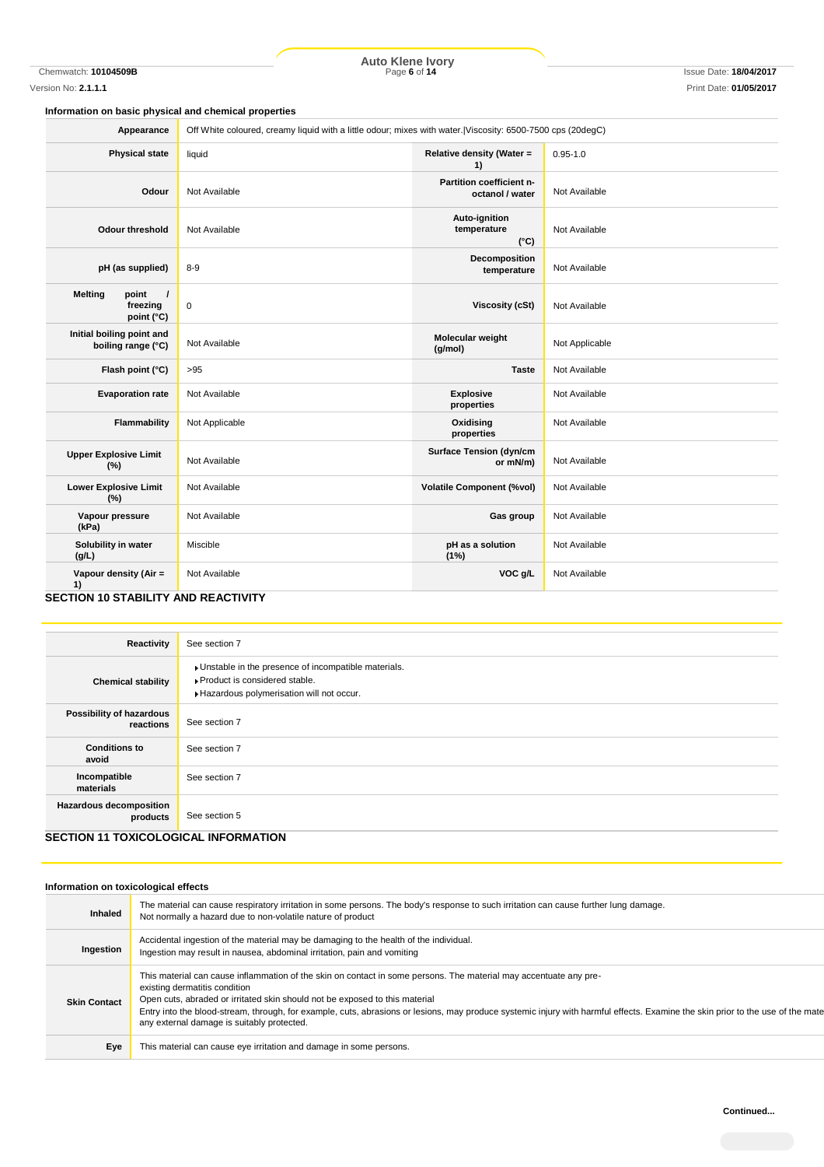Chemwatch: **10104509B** Page **6** of **14** Issue Date: **18/04/2017 Auto Klene Ivory**

# **Information on basic physical and chemical properties**

| Appearance                                                          | Off White coloured, creamy liquid with a little odour; mixes with water. Viscosity: 6500-7500 cps (20degC) |                                               |                |
|---------------------------------------------------------------------|------------------------------------------------------------------------------------------------------------|-----------------------------------------------|----------------|
| <b>Physical state</b>                                               | liquid                                                                                                     | Relative density (Water =<br>1)               | $0.95 - 1.0$   |
| Odour                                                               | Not Available                                                                                              | Partition coefficient n-<br>octanol / water   | Not Available  |
| <b>Odour threshold</b>                                              | Not Available                                                                                              | Auto-ignition<br>temperature<br>$(^{\circ}C)$ | Not Available  |
| pH (as supplied)                                                    | $8 - 9$                                                                                                    | Decomposition<br>temperature                  | Not Available  |
| <b>Melting</b><br>point<br>$\overline{1}$<br>freezing<br>point (°C) | $\pmb{0}$                                                                                                  | <b>Viscosity (cSt)</b>                        | Not Available  |
| Initial boiling point and<br>boiling range (°C)                     | Not Available                                                                                              | Molecular weight<br>(g/mol)                   | Not Applicable |
| Flash point (°C)                                                    | >95                                                                                                        | <b>Taste</b>                                  | Not Available  |
| <b>Evaporation rate</b>                                             | Not Available                                                                                              | <b>Explosive</b><br>properties                | Not Available  |
| Flammability                                                        | Not Applicable                                                                                             | Oxidising<br>properties                       | Not Available  |
| <b>Upper Explosive Limit</b><br>(%)                                 | Not Available                                                                                              | <b>Surface Tension (dyn/cm</b><br>or mN/m)    | Not Available  |
| <b>Lower Explosive Limit</b><br>(%)                                 | Not Available                                                                                              | <b>Volatile Component (%vol)</b>              | Not Available  |
| Vapour pressure<br>(kPa)                                            | Not Available                                                                                              | Gas group                                     | Not Available  |
| Solubility in water<br>(g/L)                                        | Miscible                                                                                                   | pH as a solution<br>(1%)                      | Not Available  |
| Vapour density (Air =<br>1)<br>SECTION 10 STARII ITY AND PEACTIVITY | Not Available                                                                                              | VOC g/L                                       | Not Available  |

### **SECTION 10 STABILITY AND REACTIVITY**

| Reactivity                                                                                | See section 7                                                                                                                      |
|-------------------------------------------------------------------------------------------|------------------------------------------------------------------------------------------------------------------------------------|
| <b>Chemical stability</b>                                                                 | Unstable in the presence of incompatible materials.<br>▶ Product is considered stable.<br>Hazardous polymerisation will not occur. |
| Possibility of hazardous<br>reactions                                                     | See section 7                                                                                                                      |
| <b>Conditions to</b><br>avoid                                                             | See section 7                                                                                                                      |
| Incompatible<br>materials                                                                 | See section 7                                                                                                                      |
| <b>Hazardous decomposition</b><br>products<br><b>CECTION 44 TOVICOLOGICAL INFODMATION</b> | See section 5                                                                                                                      |

# **SECTION 11 TOXICOLOGICAL INFORMATION**

### **Information on toxicological effects**

| <b>Inhaled</b>      | The material can cause respiratory irritation in some persons. The body's response to such irritation can cause further lung damage.<br>Not normally a hazard due to non-volatile nature of product                                                                                                                                                                                                                                                               |
|---------------------|-------------------------------------------------------------------------------------------------------------------------------------------------------------------------------------------------------------------------------------------------------------------------------------------------------------------------------------------------------------------------------------------------------------------------------------------------------------------|
| Ingestion           | Accidental ingestion of the material may be damaging to the health of the individual.<br>Ingestion may result in nausea, abdominal irritation, pain and vomiting                                                                                                                                                                                                                                                                                                  |
| <b>Skin Contact</b> | This material can cause inflammation of the skin on contact in some persons. The material may accentuate any pre-<br>existing dermatitis condition<br>Open cuts, abraded or irritated skin should not be exposed to this material<br>Entry into the blood-stream, through, for example, cuts, abrasions or lesions, may produce systemic injury with harmful effects. Examine the skin prior to the use of the mate<br>any external damage is suitably protected. |
| Eye                 | This material can cause eye irritation and damage in some persons.                                                                                                                                                                                                                                                                                                                                                                                                |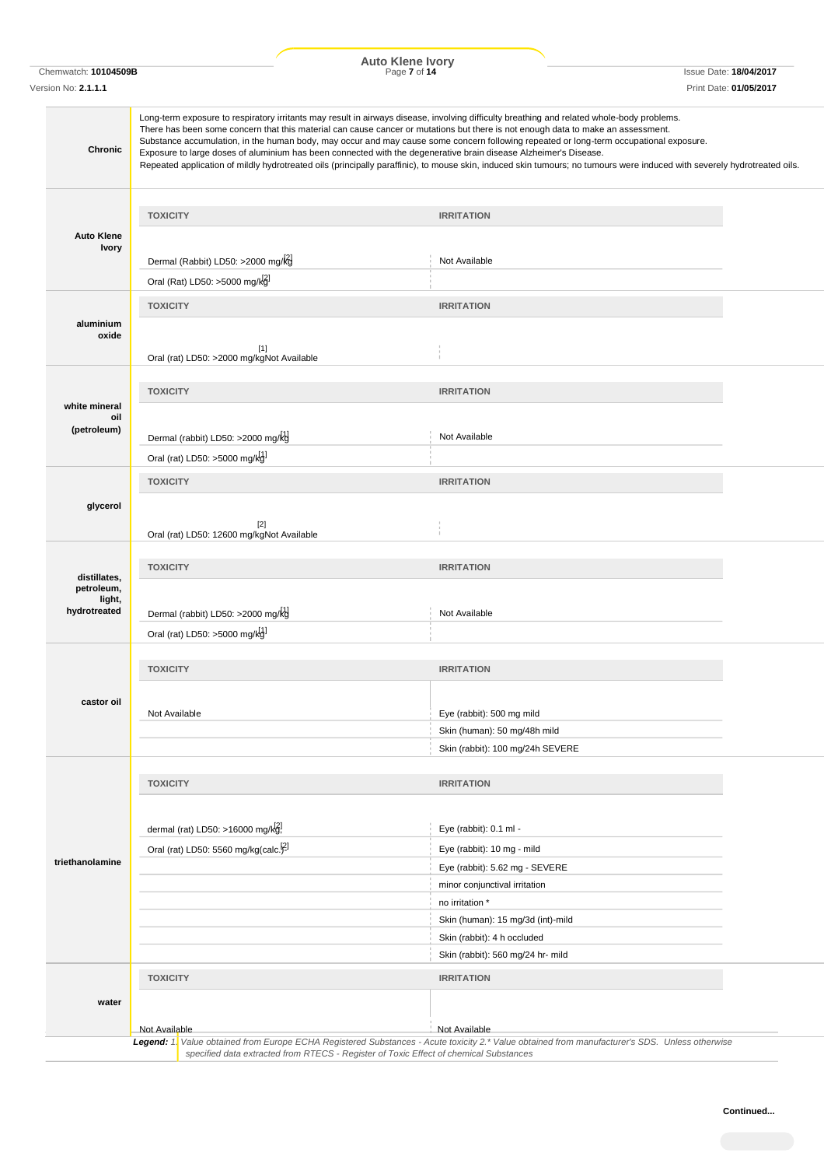**Auto Klene Ivory**

| Chemwatch: 10104509B<br>Version No: 2.1.1.1 |                                                                                                                                                                                                                                                                                                                                                                                                                                                                                                                                                                                                                                                                                                                          | <b>AULO NIGHT IVOLY</b><br>Page 7 of 14          | <b>Issue Date: 18/04/2017</b><br>Print Date: 01/05/2017 |
|---------------------------------------------|--------------------------------------------------------------------------------------------------------------------------------------------------------------------------------------------------------------------------------------------------------------------------------------------------------------------------------------------------------------------------------------------------------------------------------------------------------------------------------------------------------------------------------------------------------------------------------------------------------------------------------------------------------------------------------------------------------------------------|--------------------------------------------------|---------------------------------------------------------|
| Chronic                                     | Long-term exposure to respiratory irritants may result in airways disease, involving difficulty breathing and related whole-body problems.<br>There has been some concern that this material can cause cancer or mutations but there is not enough data to make an assessment.<br>Substance accumulation, in the human body, may occur and may cause some concern following repeated or long-term occupational exposure.<br>Exposure to large doses of aluminium has been connected with the degenerative brain disease Alzheimer's Disease.<br>Repeated application of mildly hydrotreated oils (principally paraffinic), to mouse skin, induced skin tumours; no tumours were induced with severely hydrotreated oils. |                                                  |                                                         |
|                                             | <b>TOXICITY</b>                                                                                                                                                                                                                                                                                                                                                                                                                                                                                                                                                                                                                                                                                                          | <b>IRRITATION</b>                                |                                                         |
| <b>Auto Klene</b><br><b>Ivory</b>           | Dermal (Rabbit) LD50: >2000 mg/kg                                                                                                                                                                                                                                                                                                                                                                                                                                                                                                                                                                                                                                                                                        | Not Available                                    |                                                         |
|                                             | Oral (Rat) LD50: >5000 mg/kg]                                                                                                                                                                                                                                                                                                                                                                                                                                                                                                                                                                                                                                                                                            |                                                  |                                                         |
| aluminium<br>oxide                          | <b>TOXICITY</b><br>$[1]$<br>Oral (rat) LD50: >2000 mg/kgNot Available                                                                                                                                                                                                                                                                                                                                                                                                                                                                                                                                                                                                                                                    | <b>IRRITATION</b>                                |                                                         |
|                                             |                                                                                                                                                                                                                                                                                                                                                                                                                                                                                                                                                                                                                                                                                                                          |                                                  |                                                         |
| white mineral                               | <b>TOXICITY</b>                                                                                                                                                                                                                                                                                                                                                                                                                                                                                                                                                                                                                                                                                                          | <b>IRRITATION</b>                                |                                                         |
| oil<br>(petroleum)                          | Dermal (rabbit) LD50: >2000 mg/kg                                                                                                                                                                                                                                                                                                                                                                                                                                                                                                                                                                                                                                                                                        | Not Available                                    |                                                         |
|                                             | Oral (rat) LD50: >5000 mg/kg]                                                                                                                                                                                                                                                                                                                                                                                                                                                                                                                                                                                                                                                                                            |                                                  |                                                         |
| glycerol                                    | <b>TOXICITY</b><br>$[2]$                                                                                                                                                                                                                                                                                                                                                                                                                                                                                                                                                                                                                                                                                                 | <b>IRRITATION</b>                                |                                                         |
|                                             | Oral (rat) LD50: 12600 mg/kgNot Available                                                                                                                                                                                                                                                                                                                                                                                                                                                                                                                                                                                                                                                                                |                                                  |                                                         |
| distillates,<br>petroleum,<br>light,        | <b>TOXICITY</b>                                                                                                                                                                                                                                                                                                                                                                                                                                                                                                                                                                                                                                                                                                          | <b>IRRITATION</b>                                |                                                         |
| hydrotreated                                | Dermal (rabbit) LD50: >2000 mg/kg                                                                                                                                                                                                                                                                                                                                                                                                                                                                                                                                                                                                                                                                                        | Not Available                                    |                                                         |
|                                             | Oral (rat) LD50: >5000 mg/kg]                                                                                                                                                                                                                                                                                                                                                                                                                                                                                                                                                                                                                                                                                            |                                                  |                                                         |
|                                             | <b>TOXICITY</b>                                                                                                                                                                                                                                                                                                                                                                                                                                                                                                                                                                                                                                                                                                          | <b>IRRITATION</b>                                |                                                         |
| castor oil                                  | Not Available                                                                                                                                                                                                                                                                                                                                                                                                                                                                                                                                                                                                                                                                                                            | Eye (rabbit): 500 mg mild                        |                                                         |
|                                             |                                                                                                                                                                                                                                                                                                                                                                                                                                                                                                                                                                                                                                                                                                                          | Skin (human): 50 mg/48h mild                     |                                                         |
|                                             |                                                                                                                                                                                                                                                                                                                                                                                                                                                                                                                                                                                                                                                                                                                          | Skin (rabbit): 100 mg/24h SEVERE                 |                                                         |
|                                             | <b>TOXICITY</b>                                                                                                                                                                                                                                                                                                                                                                                                                                                                                                                                                                                                                                                                                                          | <b>IRRITATION</b>                                |                                                         |
|                                             |                                                                                                                                                                                                                                                                                                                                                                                                                                                                                                                                                                                                                                                                                                                          |                                                  |                                                         |
|                                             | dermal (rat) LD50: >16000 mg/kg!                                                                                                                                                                                                                                                                                                                                                                                                                                                                                                                                                                                                                                                                                         | Eye (rabbit): 0.1 ml -                           |                                                         |
| triethanolamine                             | Oral (rat) LD50: 5560 mg/kg(calc. <sup>[2]</sup>                                                                                                                                                                                                                                                                                                                                                                                                                                                                                                                                                                                                                                                                         | Eye (rabbit): 10 mg - mild                       |                                                         |
|                                             |                                                                                                                                                                                                                                                                                                                                                                                                                                                                                                                                                                                                                                                                                                                          | Eye (rabbit): 5.62 mg - SEVERE                   |                                                         |
|                                             |                                                                                                                                                                                                                                                                                                                                                                                                                                                                                                                                                                                                                                                                                                                          | minor conjunctival irritation<br>no irritation * |                                                         |
|                                             |                                                                                                                                                                                                                                                                                                                                                                                                                                                                                                                                                                                                                                                                                                                          | Skin (human): 15 mg/3d (int)-mild                |                                                         |
|                                             |                                                                                                                                                                                                                                                                                                                                                                                                                                                                                                                                                                                                                                                                                                                          | Skin (rabbit): 4 h occluded                      |                                                         |
|                                             |                                                                                                                                                                                                                                                                                                                                                                                                                                                                                                                                                                                                                                                                                                                          | Skin (rabbit): 560 mg/24 hr- mild                |                                                         |
|                                             | <b>TOXICITY</b>                                                                                                                                                                                                                                                                                                                                                                                                                                                                                                                                                                                                                                                                                                          | <b>IRRITATION</b>                                |                                                         |
| water                                       |                                                                                                                                                                                                                                                                                                                                                                                                                                                                                                                                                                                                                                                                                                                          |                                                  |                                                         |
|                                             | Not Available                                                                                                                                                                                                                                                                                                                                                                                                                                                                                                                                                                                                                                                                                                            | Not Available                                    |                                                         |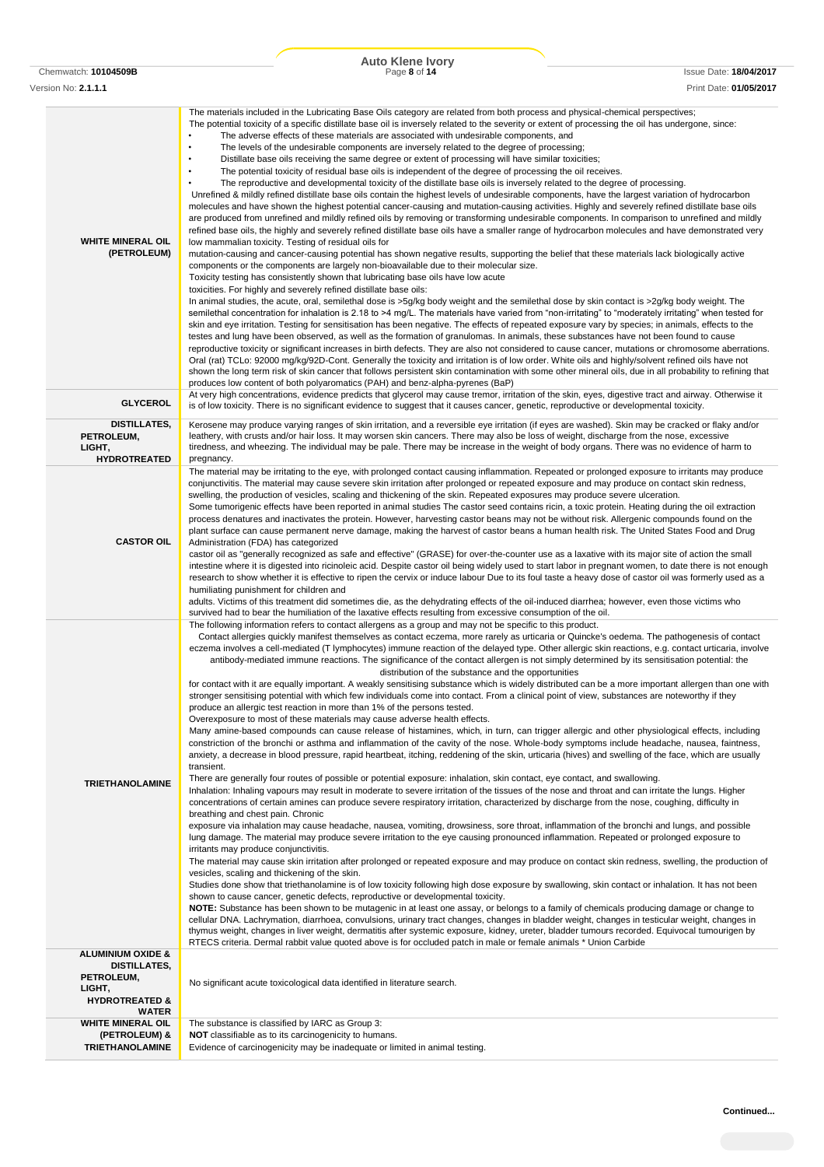|                                                                                                          | Auto Klene Ivory<br>Page 8 of 14                                                                                                                                                                                                                                                                                                                                                                                                                                                                                                                                                                                                                                                                                                                                                                                                                                                                                                                                                                                                                                                                                                                                                                                                                                                                                                                                                                                                                                                                                                                                                                                                                                                                                                                                                                                                                                                                                                                                                                                                                                                                                                                                                                                                                                                                                                                                                                                                                                                                                                                                                                                                                                                                                                                                                                                                                                                                                                                                                                                                                                                                                                                                                                                                                                                                                                                                                |                        |
|----------------------------------------------------------------------------------------------------------|---------------------------------------------------------------------------------------------------------------------------------------------------------------------------------------------------------------------------------------------------------------------------------------------------------------------------------------------------------------------------------------------------------------------------------------------------------------------------------------------------------------------------------------------------------------------------------------------------------------------------------------------------------------------------------------------------------------------------------------------------------------------------------------------------------------------------------------------------------------------------------------------------------------------------------------------------------------------------------------------------------------------------------------------------------------------------------------------------------------------------------------------------------------------------------------------------------------------------------------------------------------------------------------------------------------------------------------------------------------------------------------------------------------------------------------------------------------------------------------------------------------------------------------------------------------------------------------------------------------------------------------------------------------------------------------------------------------------------------------------------------------------------------------------------------------------------------------------------------------------------------------------------------------------------------------------------------------------------------------------------------------------------------------------------------------------------------------------------------------------------------------------------------------------------------------------------------------------------------------------------------------------------------------------------------------------------------------------------------------------------------------------------------------------------------------------------------------------------------------------------------------------------------------------------------------------------------------------------------------------------------------------------------------------------------------------------------------------------------------------------------------------------------------------------------------------------------------------------------------------------------------------------------------------------------------------------------------------------------------------------------------------------------------------------------------------------------------------------------------------------------------------------------------------------------------------------------------------------------------------------------------------------------------------------------------------------------------------------------------------------------|------------------------|
| Chemwatch: 10104509B                                                                                     |                                                                                                                                                                                                                                                                                                                                                                                                                                                                                                                                                                                                                                                                                                                                                                                                                                                                                                                                                                                                                                                                                                                                                                                                                                                                                                                                                                                                                                                                                                                                                                                                                                                                                                                                                                                                                                                                                                                                                                                                                                                                                                                                                                                                                                                                                                                                                                                                                                                                                                                                                                                                                                                                                                                                                                                                                                                                                                                                                                                                                                                                                                                                                                                                                                                                                                                                                                                 | Issue Date: 18/04/2017 |
| Version No: 2.1.1.1                                                                                      |                                                                                                                                                                                                                                                                                                                                                                                                                                                                                                                                                                                                                                                                                                                                                                                                                                                                                                                                                                                                                                                                                                                                                                                                                                                                                                                                                                                                                                                                                                                                                                                                                                                                                                                                                                                                                                                                                                                                                                                                                                                                                                                                                                                                                                                                                                                                                                                                                                                                                                                                                                                                                                                                                                                                                                                                                                                                                                                                                                                                                                                                                                                                                                                                                                                                                                                                                                                 | Print Date: 01/05/2017 |
| <b>WHITE MINERAL OIL</b><br>(PETROLEUM)                                                                  | The materials included in the Lubricating Base Oils category are related from both process and physical-chemical perspectives;<br>The potential toxicity of a specific distillate base oil is inversely related to the severity or extent of processing the oil has undergone, since:<br>The adverse effects of these materials are associated with undesirable components, and<br>$\bullet$<br>The levels of the undesirable components are inversely related to the degree of processing;<br>Distillate base oils receiving the same degree or extent of processing will have similar toxicities;<br>$\bullet$<br>$\bullet$<br>The potential toxicity of residual base oils is independent of the degree of processing the oil receives.<br>$\bullet$<br>The reproductive and developmental toxicity of the distillate base oils is inversely related to the degree of processing.<br>Unrefined & mildly refined distillate base oils contain the highest levels of undesirable components, have the largest variation of hydrocarbon<br>molecules and have shown the highest potential cancer-causing and mutation-causing activities. Highly and severely refined distillate base oils<br>are produced from unrefined and mildly refined oils by removing or transforming undesirable components. In comparison to unrefined and mildly<br>refined base oils, the highly and severely refined distillate base oils have a smaller range of hydrocarbon molecules and have demonstrated very<br>low mammalian toxicity. Testing of residual oils for<br>mutation-causing and cancer-causing potential has shown negative results, supporting the belief that these materials lack biologically active<br>components or the components are largely non-bioavailable due to their molecular size.<br>Toxicity testing has consistently shown that lubricating base oils have low acute<br>toxicities. For highly and severely refined distillate base oils:<br>In animal studies, the acute, oral, semilethal dose is >5g/kg body weight and the semilethal dose by skin contact is >2g/kg body weight. The<br>semilethal concentration for inhalation is 2.18 to >4 mg/L. The materials have varied from "non-irritating" to "moderately irritating" when tested for<br>skin and eye irritation. Testing for sensitisation has been negative. The effects of repeated exposure vary by species; in animals, effects to the<br>testes and lung have been observed, as well as the formation of granulomas. In animals, these substances have not been found to cause<br>reproductive toxicity or significant increases in birth defects. They are also not considered to cause cancer, mutations or chromosome aberrations.<br>Oral (rat) TCLo: 92000 mg/kg/92D-Cont. Generally the toxicity and irritation is of low order. White oils and highly/solvent refined oils have not<br>shown the long term risk of skin cancer that follows persistent skin contamination with some other mineral oils, due in all probability to refining that<br>produces low content of both polyaromatics (PAH) and benz-alpha-pyrenes (BaP)                                                                                                                                                                                                                                                  |                        |
| <b>GLYCEROL</b>                                                                                          | At very high concentrations, evidence predicts that glycerol may cause tremor, irritation of the skin, eyes, digestive tract and airway. Otherwise it<br>is of low toxicity. There is no significant evidence to suggest that it causes cancer, genetic, reproductive or developmental toxicity.                                                                                                                                                                                                                                                                                                                                                                                                                                                                                                                                                                                                                                                                                                                                                                                                                                                                                                                                                                                                                                                                                                                                                                                                                                                                                                                                                                                                                                                                                                                                                                                                                                                                                                                                                                                                                                                                                                                                                                                                                                                                                                                                                                                                                                                                                                                                                                                                                                                                                                                                                                                                                                                                                                                                                                                                                                                                                                                                                                                                                                                                                |                        |
| DISTILLATES,<br>PETROLEUM,<br>LIGHT,<br><b>HYDROTREATED</b>                                              | Kerosene may produce varying ranges of skin irritation, and a reversible eye irritation (if eyes are washed). Skin may be cracked or flaky and/or<br>leathery, with crusts and/or hair loss. It may worsen skin cancers. There may also be loss of weight, discharge from the nose, excessive<br>tiredness, and wheezing. The individual may be pale. There may be increase in the weight of body organs. There was no evidence of harm to<br>pregnancy.                                                                                                                                                                                                                                                                                                                                                                                                                                                                                                                                                                                                                                                                                                                                                                                                                                                                                                                                                                                                                                                                                                                                                                                                                                                                                                                                                                                                                                                                                                                                                                                                                                                                                                                                                                                                                                                                                                                                                                                                                                                                                                                                                                                                                                                                                                                                                                                                                                                                                                                                                                                                                                                                                                                                                                                                                                                                                                                        |                        |
| <b>CASTOR OIL</b>                                                                                        | The material may be irritating to the eye, with prolonged contact causing inflammation. Repeated or prolonged exposure to irritants may produce<br>conjunctivitis. The material may cause severe skin irritation after prolonged or repeated exposure and may produce on contact skin redness,<br>swelling, the production of vesicles, scaling and thickening of the skin. Repeated exposures may produce severe ulceration.<br>Some tumorigenic effects have been reported in animal studies The castor seed contains ricin, a toxic protein. Heating during the oil extraction<br>process denatures and inactivates the protein. However, harvesting castor beans may not be without risk. Allergenic compounds found on the<br>plant surface can cause permanent nerve damage, making the harvest of castor beans a human health risk. The United States Food and Drug<br>Administration (FDA) has categorized<br>castor oil as "generally recognized as safe and effective" (GRASE) for over-the-counter use as a laxative with its major site of action the small<br>intestine where it is digested into ricinoleic acid. Despite castor oil being widely used to start labor in pregnant women, to date there is not enough<br>research to show whether it is effective to ripen the cervix or induce labour Due to its foul taste a heavy dose of castor oil was formerly used as a<br>humiliating punishment for children and<br>adults. Victims of this treatment did sometimes die, as the dehydrating effects of the oil-induced diarrhea; however, even those victims who<br>survived had to bear the humiliation of the laxative effects resulting from excessive consumption of the oil.                                                                                                                                                                                                                                                                                                                                                                                                                                                                                                                                                                                                                                                                                                                                                                                                                                                                                                                                                                                                                                                                                                                                                                                                                                                                                                                                                                                                                                                                                                                                                                                                                                                                         |                        |
| <b>TRIETHANOLAMINE</b>                                                                                   | The following information refers to contact allergens as a group and may not be specific to this product.<br>Contact allergies quickly manifest themselves as contact eczema, more rarely as urticaria or Quincke's oedema. The pathogenesis of contact<br>eczema involves a cell-mediated (T lymphocytes) immune reaction of the delayed type. Other allergic skin reactions, e.g. contact urticaria, involve<br>antibody-mediated immune reactions. The significance of the contact allergen is not simply determined by its sensitisation potential: the<br>distribution of the substance and the opportunities<br>for contact with it are equally important. A weakly sensitising substance which is widely distributed can be a more important allergen than one with<br>stronger sensitising potential with which few individuals come into contact. From a clinical point of view, substances are noteworthy if they<br>produce an allergic test reaction in more than 1% of the persons tested.<br>Overexposure to most of these materials may cause adverse health effects.<br>Many amine-based compounds can cause release of histamines, which, in turn, can trigger allergic and other physiological effects, including<br>constriction of the bronchi or asthma and inflammation of the cavity of the nose. Whole-body symptoms include headache, nausea, faintness,<br>anxiety, a decrease in blood pressure, rapid heartbeat, itching, reddening of the skin, urticaria (hives) and swelling of the face, which are usually<br>transient.<br>There are generally four routes of possible or potential exposure: inhalation, skin contact, eye contact, and swallowing.<br>Inhalation: Inhaling vapours may result in moderate to severe irritation of the tissues of the nose and throat and can irritate the lungs. Higher<br>concentrations of certain amines can produce severe respiratory irritation, characterized by discharge from the nose, coughing, difficulty in<br>breathing and chest pain. Chronic<br>exposure via inhalation may cause headache, nausea, vomiting, drowsiness, sore throat, inflammation of the bronchi and lungs, and possible<br>lung damage. The material may produce severe irritation to the eye causing pronounced inflammation. Repeated or prolonged exposure to<br>irritants may produce conjunctivitis.<br>The material may cause skin irritation after prolonged or repeated exposure and may produce on contact skin redness, swelling, the production of<br>vesicles, scaling and thickening of the skin.<br>Studies done show that triethanolamine is of low toxicity following high dose exposure by swallowing, skin contact or inhalation. It has not been<br>shown to cause cancer, genetic defects, reproductive or developmental toxicity.<br>NOTE: Substance has been shown to be mutagenic in at least one assay, or belongs to a family of chemicals producing damage or change to<br>cellular DNA. Lachrymation, diarrhoea, convulsions, urinary tract changes, changes in bladder weight, changes in testicular weight, changes in<br>thymus weight, changes in liver weight, dermatitis after systemic exposure, kidney, ureter, bladder tumours recorded. Equivocal tumourigen by<br>RTECS criteria. Dermal rabbit value quoted above is for occluded patch in male or female animals * Union Carbide |                        |
| <b>ALUMINIUM OXIDE &amp;</b><br><b>DISTILLATES,</b><br>PETROLEUM,<br>LIGHT,<br><b>HYDROTREATED &amp;</b> | No significant acute toxicological data identified in literature search.                                                                                                                                                                                                                                                                                                                                                                                                                                                                                                                                                                                                                                                                                                                                                                                                                                                                                                                                                                                                                                                                                                                                                                                                                                                                                                                                                                                                                                                                                                                                                                                                                                                                                                                                                                                                                                                                                                                                                                                                                                                                                                                                                                                                                                                                                                                                                                                                                                                                                                                                                                                                                                                                                                                                                                                                                                                                                                                                                                                                                                                                                                                                                                                                                                                                                                        |                        |
| <b>WATER</b>                                                                                             |                                                                                                                                                                                                                                                                                                                                                                                                                                                                                                                                                                                                                                                                                                                                                                                                                                                                                                                                                                                                                                                                                                                                                                                                                                                                                                                                                                                                                                                                                                                                                                                                                                                                                                                                                                                                                                                                                                                                                                                                                                                                                                                                                                                                                                                                                                                                                                                                                                                                                                                                                                                                                                                                                                                                                                                                                                                                                                                                                                                                                                                                                                                                                                                                                                                                                                                                                                                 |                        |
| <b>WHITE MINERAL OIL</b><br>(PETROLEUM) &<br><b>TRIETHANOLAMINE</b>                                      | The substance is classified by IARC as Group 3:<br>NOT classifiable as to its carcinogenicity to humans.<br>Evidence of carcinogenicity may be inadequate or limited in animal testing.                                                                                                                                                                                                                                                                                                                                                                                                                                                                                                                                                                                                                                                                                                                                                                                                                                                                                                                                                                                                                                                                                                                                                                                                                                                                                                                                                                                                                                                                                                                                                                                                                                                                                                                                                                                                                                                                                                                                                                                                                                                                                                                                                                                                                                                                                                                                                                                                                                                                                                                                                                                                                                                                                                                                                                                                                                                                                                                                                                                                                                                                                                                                                                                         |                        |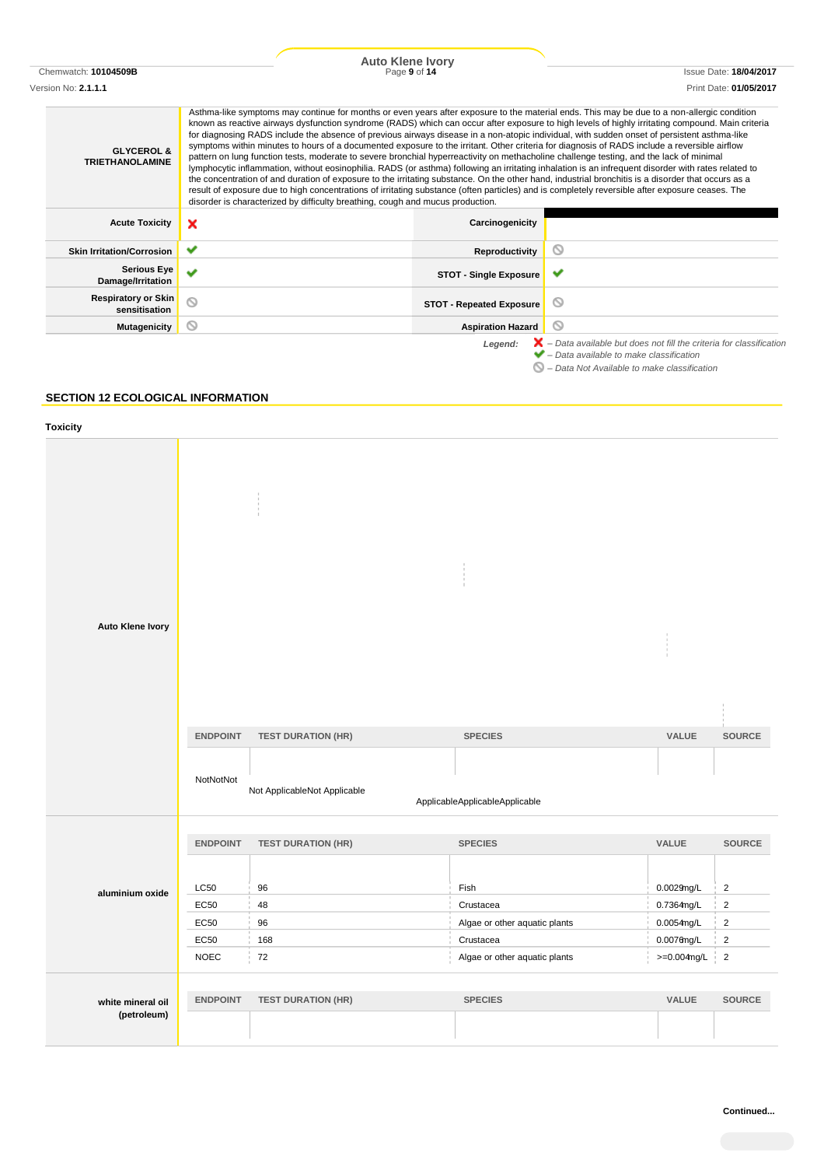|                                                 | <b>Auto Klene Ivory</b>                                                                                                                                                                                                                                                                                                                                                                                                                                                                                                                                                                                                                                                                                                                                                                                                                                                                                                                                                                                                                                                                                                                 |                                 |                                                                                                                                                           |
|-------------------------------------------------|-----------------------------------------------------------------------------------------------------------------------------------------------------------------------------------------------------------------------------------------------------------------------------------------------------------------------------------------------------------------------------------------------------------------------------------------------------------------------------------------------------------------------------------------------------------------------------------------------------------------------------------------------------------------------------------------------------------------------------------------------------------------------------------------------------------------------------------------------------------------------------------------------------------------------------------------------------------------------------------------------------------------------------------------------------------------------------------------------------------------------------------------|---------------------------------|-----------------------------------------------------------------------------------------------------------------------------------------------------------|
| Chemwatch: 10104509B                            | Page 9 of 14                                                                                                                                                                                                                                                                                                                                                                                                                                                                                                                                                                                                                                                                                                                                                                                                                                                                                                                                                                                                                                                                                                                            |                                 | <b>Issue Date: 18/04/2017</b>                                                                                                                             |
| Version No: <b>2.1.1.1</b>                      |                                                                                                                                                                                                                                                                                                                                                                                                                                                                                                                                                                                                                                                                                                                                                                                                                                                                                                                                                                                                                                                                                                                                         |                                 | Print Date: 01/05/2017                                                                                                                                    |
| <b>GLYCEROL &amp;</b><br><b>TRIETHANOLAMINE</b> | Asthma-like symptoms may continue for months or even years after exposure to the material ends. This may be due to a non-allergic condition<br>for diagnosing RADS include the absence of previous airways disease in a non-atopic individual, with sudden onset of persistent asthma-like<br>symptoms within minutes to hours of a documented exposure to the irritant. Other criteria for diagnosis of RADS include a reversible airflow<br>pattern on lung function tests, moderate to severe bronchial hyperreactivity on methacholine challenge testing, and the lack of minimal<br>lymphocytic inflammation, without eosinophilia. RADS (or asthma) following an irritating inhalation is an infrequent disorder with rates related to<br>the concentration of and duration of exposure to the irritating substance. On the other hand, industrial bronchitis is a disorder that occurs as a<br>result of exposure due to high concentrations of irritating substance (often particles) and is completely reversible after exposure ceases. The<br>disorder is characterized by difficulty breathing, cough and mucus production. |                                 | known as reactive airways dysfunction syndrome (RADS) which can occur after exposure to high levels of highly irritating compound. Main criteria          |
| <b>Acute Toxicity</b>                           | ×                                                                                                                                                                                                                                                                                                                                                                                                                                                                                                                                                                                                                                                                                                                                                                                                                                                                                                                                                                                                                                                                                                                                       | Carcinogenicity                 |                                                                                                                                                           |
| <b>Skin Irritation/Corrosion</b>                | ✔                                                                                                                                                                                                                                                                                                                                                                                                                                                                                                                                                                                                                                                                                                                                                                                                                                                                                                                                                                                                                                                                                                                                       | Reproductivity                  | 0                                                                                                                                                         |
| <b>Serious Eye</b><br>Damage/Irritation         | v                                                                                                                                                                                                                                                                                                                                                                                                                                                                                                                                                                                                                                                                                                                                                                                                                                                                                                                                                                                                                                                                                                                                       | <b>STOT - Single Exposure</b>   | ັ                                                                                                                                                         |
| <b>Respiratory or Skin</b><br>sensitisation     | ⊚                                                                                                                                                                                                                                                                                                                                                                                                                                                                                                                                                                                                                                                                                                                                                                                                                                                                                                                                                                                                                                                                                                                                       | <b>STOT - Repeated Exposure</b> | ◎                                                                                                                                                         |
| <b>Mutagenicity</b>                             | ⊚                                                                                                                                                                                                                                                                                                                                                                                                                                                                                                                                                                                                                                                                                                                                                                                                                                                                                                                                                                                                                                                                                                                                       | <b>Aspiration Hazard</b>        | $\circ$                                                                                                                                                   |
|                                                 |                                                                                                                                                                                                                                                                                                                                                                                                                                                                                                                                                                                                                                                                                                                                                                                                                                                                                                                                                                                                                                                                                                                                         | Legend:                         | $\blacktriangleright$ – Data available but does not fill the criteria for classification<br>$\blacktriangleright$ – Data available to make classification |

### *– Data Not Available to make classification*

# **SECTION 12 ECOLOGICAL INFORMATION**

| <b>Toxicity</b>                  |                                |                                 |                                |                |                |
|----------------------------------|--------------------------------|---------------------------------|--------------------------------|----------------|----------------|
| Auto Klene Ivory                 |                                |                                 |                                |                |                |
|                                  | <b>ENDPOINT</b>                | <b>TEST DURATION (HR)</b>       | <b>SPECIES</b>                 | VALUE          | <b>SOURCE</b>  |
|                                  | NotNotNot                      | Not ApplicableNot Applicable    | ApplicableApplicableApplicable |                |                |
|                                  |                                |                                 |                                | VALUE          | SOURCE         |
|                                  | <b>ENDPOINT</b><br><b>LC50</b> | <b>TEST DURATION (HR)</b><br>96 | <b>SPECIES</b><br>Fish         | $0.0029$ ng/L  | $\sqrt{2}$     |
| aluminium oxide                  | EC50                           | 48                              | Crustacea                      | 0.7364mg/L     | $\sqrt{2}$     |
|                                  | EC50                           | 96                              | Algae or other aquatic plants  | 0.0054mg/L     | $\sqrt{2}$     |
|                                  | EC50                           | 168                             | Crustacea                      | $0.0076$ ng/L  | $\overline{2}$ |
|                                  | <b>NOEC</b>                    | 72                              | Algae or other aquatic plants  | $>=0.004$ mg/L | $\sqrt{2}$     |
| white mineral oil<br>(petroleum) | <b>ENDPOINT</b>                | <b>TEST DURATION (HR)</b>       | <b>SPECIES</b>                 | VALUE          | <b>SOURCE</b>  |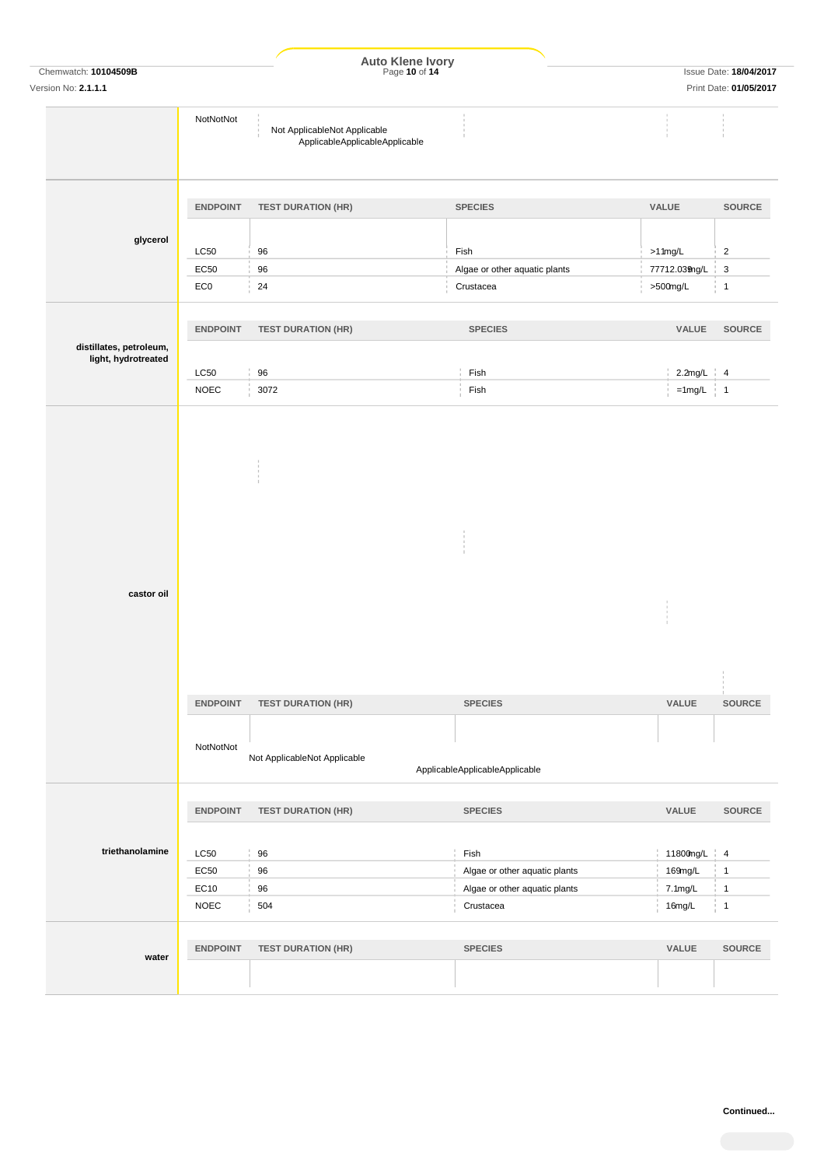|                                                |                 | Auto Klene Ivory<br>Page 10 of 14                              |                                |                |                                                         |
|------------------------------------------------|-----------------|----------------------------------------------------------------|--------------------------------|----------------|---------------------------------------------------------|
| Chemwatch: 10104509B<br>Version No: 2.1.1.1    |                 |                                                                |                                |                | <b>Issue Date: 18/04/2017</b><br>Print Date: 01/05/2017 |
|                                                |                 |                                                                |                                |                |                                                         |
|                                                | NotNotNot       | Not ApplicableNot Applicable<br>ApplicableApplicableApplicable |                                |                |                                                         |
|                                                | <b>ENDPOINT</b> | <b>TEST DURATION (HR)</b>                                      | <b>SPECIES</b>                 | VALUE          | <b>SOURCE</b>                                           |
| glycerol                                       | <b>LC50</b>     | 96                                                             | Fish                           | $>1$ 1mg/L     | $\sqrt{2}$                                              |
|                                                | EC50            | 96                                                             | Algae or other aquatic plants  | 77712.039ng/L  | 3                                                       |
|                                                | EC <sub>0</sub> | 24                                                             | Crustacea                      | >500mg/L       | $\overline{1}$                                          |
|                                                | <b>ENDPOINT</b> | <b>TEST DURATION (HR)</b>                                      | <b>SPECIES</b>                 | VALUE          | <b>SOURCE</b>                                           |
| distillates, petroleum,<br>light, hydrotreated |                 |                                                                |                                |                |                                                         |
|                                                | <b>LC50</b>     | 96                                                             | Fish                           | $2.2$ mg/L $4$ |                                                         |
|                                                | <b>NOEC</b>     | 3072                                                           | Fish                           | $=1$ mg/L 1    |                                                         |
| castor oil                                     | <b>ENDPOINT</b> | <b>TEST DURATION (HR)</b>                                      | <b>SPECIES</b>                 | VALUE          | SOURCE                                                  |
|                                                |                 |                                                                |                                |                |                                                         |
|                                                | NotNotNot       | Not ApplicableNot Applicable                                   | ApplicableApplicableApplicable |                |                                                         |
|                                                |                 |                                                                |                                |                |                                                         |
|                                                | <b>ENDPOINT</b> | <b>TEST DURATION (HR)</b>                                      | <b>SPECIES</b>                 | VALUE          | <b>SOURCE</b>                                           |
| triethanolamine                                | LC50            | 96                                                             | Fish                           | 11800mg/L 4    |                                                         |
|                                                | EC50            | $96\,$                                                         | Algae or other aquatic plants  | 169mg/L        | $\mathbf{1}$                                            |
|                                                | EC10            | 96                                                             | Algae or other aquatic plants  | 7.1mg/L        | $\frac{1}{2}$ 1                                         |
|                                                | <b>NOEC</b>     | 504                                                            | Crustacea                      | 16mg/L         | $\frac{1}{2}$ 1                                         |
| water                                          | <b>ENDPOINT</b> | <b>TEST DURATION (HR)</b>                                      | <b>SPECIES</b>                 | VALUE          | <b>SOURCE</b>                                           |
|                                                |                 |                                                                |                                |                |                                                         |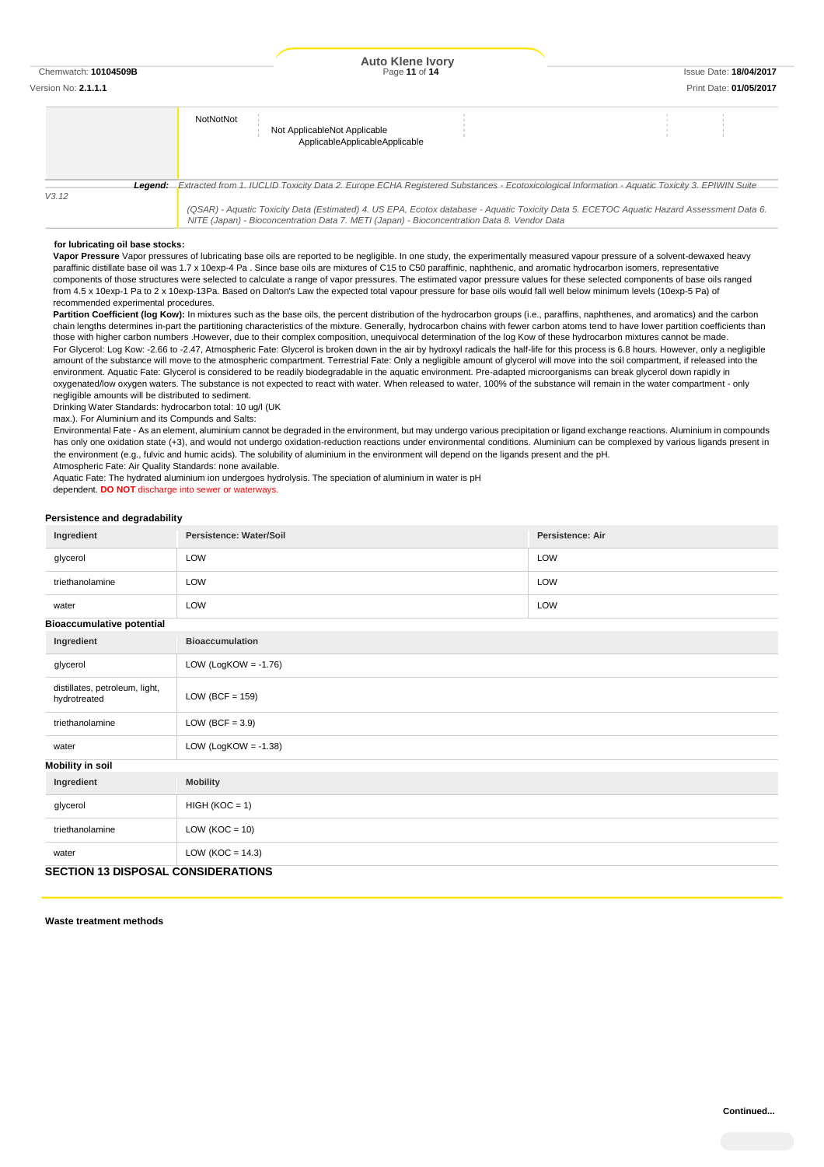# Version No: **2.1.1.1** Print Date: **01/05/2017 NotNot** Not ApplicableNot Applicable ApplicableApplicableApplicable *Legend: Extracted from 1. IUCLID Toxicity Data 2. Europe ECHA Registered Substances - Ecotoxicological Information - Aquatic Toxicity 3. EPIWIN Suite V3.12 (QSAR) - Aquatic Toxicity Data (Estimated) 4. US EPA, Ecotox database - Aquatic Toxicity Data 5. ECETOC Aquatic Hazard Assessment Data 6. NITE (Japan) - Bioconcentration Data 7. METI (Japan) - Bioconcentration Data 8. Vendor Data*

**for lubricating oil base stocks:**

**Vapor Pressure** Vapor pressures of lubricating base oils are reported to be negligible. In one study, the experimentally measured vapour pressure of a solvent-dewaxed heavy paraffinic distillate base oil was 1.7 x 10exp-4 Pa . Since base oils are mixtures of C15 to C50 paraffinic, naphthenic, and aromatic hydrocarbon isomers, representative components of those structures were selected to calculate a range of vapor pressures. The estimated vapor pressure values for these selected components of base oils ranged from 4.5 x 10exp-1 Pa to 2 x 10exp-13Pa. Based on Dalton's Law the expected total vapour pressure for base oils would fall well below minimum levels (10exp-5 Pa) of recommended experimental procedures.

Partition Coefficient (log Kow): In mixtures such as the base oils, the percent distribution of the hydrocarbon groups (i.e., paraffins, naphthenes, and aromatics) and the carbon chain lengths determines in-part the partitioning characteristics of the mixture. Generally, hydrocarbon chains with fewer carbon atoms tend to have lower partition coefficients than those with higher carbon numbers .However, due to their complex composition, unequivocal determination of the log Kow of these hydrocarbon mixtures cannot be made. For Glycerol: Log Kow: -2.66 to -2.47, Atmospheric Fate: Glycerol is broken down in the air by hydroxyl radicals the half-life for this process is 6.8 hours. However, only a negligible amount of the substance will move to the atmospheric compartment. Terrestrial Fate: Only a negligible amount of glycerol will move into the soil compartment, if released into the environment. Aquatic Fate: Glycerol is considered to be readily biodegradable in the aquatic environment. Pre-adapted microorganisms can break glycerol down rapidly in oxygenated/low oxygen waters. The substance is not expected to react with water. When released to water, 100% of the substance will remain in the water compartment - only negligible amounts will be distributed to sediment.

Drinking Water Standards: hydrocarbon total: 10 ug/l (UK

max.). For Aluminium and its Compunds and Salts:

Environmental Fate - As an element, aluminium cannot be degraded in the environment, but may undergo various precipitation or ligand exchange reactions. Aluminium in compounds has only one oxidation state (+3), and would not undergo oxidation-reduction reactions under environmental conditions. Aluminium can be complexed by various ligands present in the environment (e.g., fulvic and humic acids). The solubility of aluminium in the environment will depend on the ligands present and the pH. Atmospheric Fate: Air Quality Standards: none available.

Aquatic Fate: The hydrated aluminium ion undergoes hydrolysis. The speciation of aluminium in water is pH

dependent. **DO NOT** discharge into sewer or waterways.

#### **Persistence and degradability**

| Ingredient                                     | Persistence: Water/Soil | <b>Persistence: Air</b> |  |  |  |  |
|------------------------------------------------|-------------------------|-------------------------|--|--|--|--|
| glycerol                                       | LOW                     | LOW                     |  |  |  |  |
| triethanolamine                                | LOW                     | LOW                     |  |  |  |  |
| water                                          | LOW                     | LOW                     |  |  |  |  |
| <b>Bioaccumulative potential</b>               |                         |                         |  |  |  |  |
| Ingredient                                     | <b>Bioaccumulation</b>  |                         |  |  |  |  |
| glycerol                                       | LOW (LogKOW = $-1.76$ ) |                         |  |  |  |  |
| distillates, petroleum, light,<br>hydrotreated | LOW (BCF = $159$ )      |                         |  |  |  |  |
| triethanolamine                                | LOW (BCF = $3.9$ )      |                         |  |  |  |  |
| water                                          | LOW (LogKOW = $-1.38$ ) |                         |  |  |  |  |
| <b>Mobility in soil</b>                        |                         |                         |  |  |  |  |
| Ingredient                                     | <b>Mobility</b>         |                         |  |  |  |  |
| glycerol                                       | $HIGH (KOC = 1)$        |                         |  |  |  |  |
| triethanolamine                                | LOW ( $KOC = 10$ )      |                         |  |  |  |  |
| water                                          | LOW ( $KOC = 14.3$ )    |                         |  |  |  |  |
| <b>SECTION 13 DISPOSAL CONSIDERATIONS</b>      |                         |                         |  |  |  |  |

**Waste treatment methods**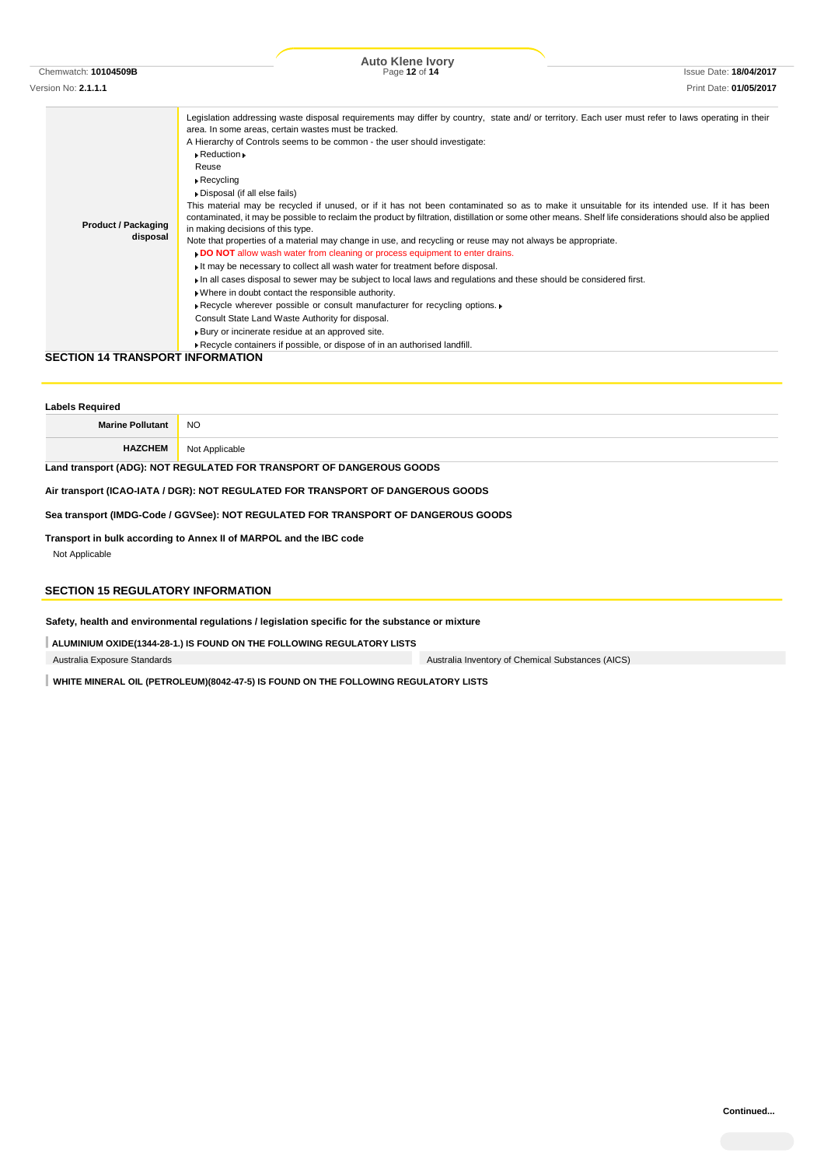| Chemwatch: 10104509B<br>Version No: <b>2.1.1.1</b> | Page 12 of 14                                                                                                                                                                                                                                                                                                                                                                                                                                                                                                                                                                                                                                                                                                                                                                                                                                                                                                                                                                                                                                                                                                                                                                                                                                                                                                                                                                                                                                                                              | <b>Issue Date: 18/04/2017</b> |
|----------------------------------------------------|--------------------------------------------------------------------------------------------------------------------------------------------------------------------------------------------------------------------------------------------------------------------------------------------------------------------------------------------------------------------------------------------------------------------------------------------------------------------------------------------------------------------------------------------------------------------------------------------------------------------------------------------------------------------------------------------------------------------------------------------------------------------------------------------------------------------------------------------------------------------------------------------------------------------------------------------------------------------------------------------------------------------------------------------------------------------------------------------------------------------------------------------------------------------------------------------------------------------------------------------------------------------------------------------------------------------------------------------------------------------------------------------------------------------------------------------------------------------------------------------|-------------------------------|
|                                                    |                                                                                                                                                                                                                                                                                                                                                                                                                                                                                                                                                                                                                                                                                                                                                                                                                                                                                                                                                                                                                                                                                                                                                                                                                                                                                                                                                                                                                                                                                            | Print Date: 01/05/2017        |
| <b>Product / Packaging</b><br>disposal             | Legislation addressing waste disposal requirements may differ by country, state and/ or territory. Each user must refer to laws operating in their<br>area. In some areas, certain wastes must be tracked.<br>A Hierarchy of Controls seems to be common - the user should investigate:<br>$\triangleright$ Reduction $\triangleright$<br>Reuse<br>$\triangleright$ Recycling<br>Disposal (if all else fails)<br>This material may be recycled if unused, or if it has not been contaminated so as to make it unsuitable for its intended use. If it has been<br>contaminated, it may be possible to reclaim the product by filtration, distillation or some other means. Shelf life considerations should also be applied<br>in making decisions of this type.<br>Note that properties of a material may change in use, and recycling or reuse may not always be appropriate.<br>. DO NOT allow wash water from cleaning or process equipment to enter drains.<br>It may be necessary to collect all wash water for treatment before disposal.<br>In all cases disposal to sewer may be subject to local laws and regulations and these should be considered first.<br>. Where in doubt contact the responsible authority.<br>Recycle wherever possible or consult manufacturer for recycling options.<br>Consult State Land Waste Authority for disposal.<br>Bury or incinerate residue at an approved site.<br>Recycle containers if possible, or dispose of in an authorised landfill. |                               |

### **SECTION 14 TRANSPORT INFORMATION**

| <b>Labels Required</b>                                                          |                |  |
|---------------------------------------------------------------------------------|----------------|--|
| <b>Marine Pollutant</b>                                                         | NO.            |  |
| <b>HAZCHEM</b>                                                                  | Not Applicable |  |
| Land transport (ADG): NOT REGULATED FOR TRANSPORT OF DANGEROUS GOODS            |                |  |
| Air transport (ICAO-IATA / DGR): NOT REGULATED FOR TRANSPORT OF DANGEROUS GOODS |                |  |

**Sea transport (IMDG-Code / GGVSee): NOT REGULATED FOR TRANSPORT OF DANGEROUS GOODS**

**Transport in bulk according to Annex II of MARPOL and the IBC code** Not Applicable

# **SECTION 15 REGULATORY INFORMATION**

**Safety, health and environmental regulations / legislation specific for the substance or mixture**

**ALUMINIUM OXIDE(1344-28-1.) IS FOUND ON THE FOLLOWING REGULATORY LISTS**

Australia Exposure Standards Australia Inventory of Chemical Substances (AICS)

**WHITE MINERAL OIL (PETROLEUM)(8042-47-5) IS FOUND ON THE FOLLOWING REGULATORY LISTS**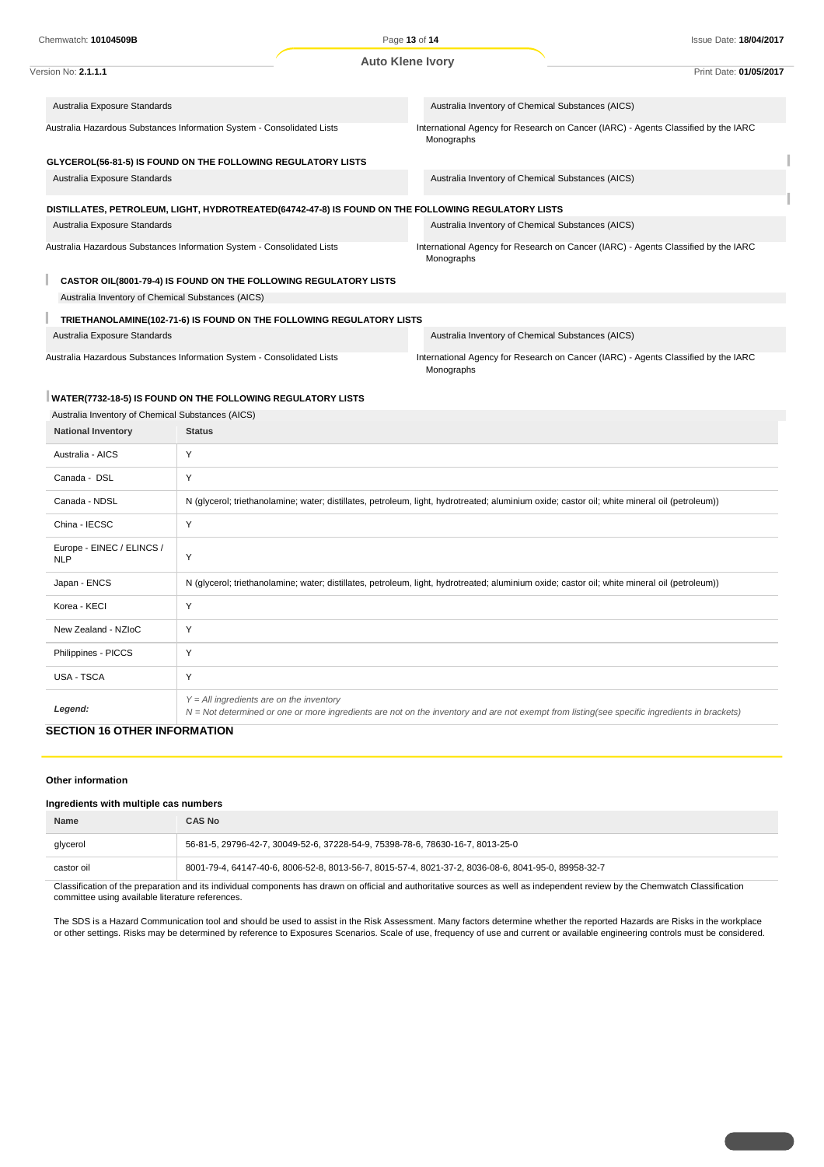| Chemwatch: 10104509B                                                                               |                         | Page 13 of 14                                                                                    | <b>Issue Date: 18/04/2017</b>                                                      |
|----------------------------------------------------------------------------------------------------|-------------------------|--------------------------------------------------------------------------------------------------|------------------------------------------------------------------------------------|
|                                                                                                    | <b>Auto Klene Ivory</b> |                                                                                                  |                                                                                    |
| Version No: 2.1.1.1                                                                                |                         |                                                                                                  | Print Date: 01/05/2017                                                             |
|                                                                                                    |                         |                                                                                                  |                                                                                    |
| Australia Exposure Standards                                                                       |                         | Australia Inventory of Chemical Substances (AICS)                                                |                                                                                    |
| Australia Hazardous Substances Information System - Consolidated Lists                             |                         | International Agency for Research on Cancer (IARC) - Agents Classified by the IARC<br>Monographs |                                                                                    |
| GLYCEROL(56-81-5) IS FOUND ON THE FOLLOWING REGULATORY LISTS                                       |                         |                                                                                                  |                                                                                    |
| Australia Exposure Standards                                                                       |                         | Australia Inventory of Chemical Substances (AICS)                                                |                                                                                    |
| DISTILLATES, PETROLEUM, LIGHT, HYDROTREATED(64742-47-8) IS FOUND ON THE FOLLOWING REGULATORY LISTS |                         |                                                                                                  |                                                                                    |
| Australia Exposure Standards                                                                       |                         | Australia Inventory of Chemical Substances (AICS)                                                |                                                                                    |
| Australia Hazardous Substances Information System - Consolidated Lists                             |                         | Monographs                                                                                       | International Agency for Research on Cancer (IARC) - Agents Classified by the IARC |
| CASTOR OIL(8001-79-4) IS FOUND ON THE FOLLOWING REGULATORY LISTS                                   |                         |                                                                                                  |                                                                                    |
| Australia Inventory of Chemical Substances (AICS)                                                  |                         |                                                                                                  |                                                                                    |
| TRIETHANOLAMINE(102-71-6) IS FOUND ON THE FOLLOWING REGULATORY LISTS                               |                         |                                                                                                  |                                                                                    |
| Australia Exposure Standards                                                                       |                         | Australia Inventory of Chemical Substances (AICS)                                                |                                                                                    |
| Australia Hazardous Substances Information System - Consolidated Lists                             |                         | Monographs                                                                                       | International Agency for Research on Cancer (IARC) - Agents Classified by the IARC |

### **WATER(7732-18-5) IS FOUND ON THE FOLLOWING REGULATORY LISTS**

| Australia Inventory of Chemical Substances (AICS) |                                                                                                                                                                                              |
|---------------------------------------------------|----------------------------------------------------------------------------------------------------------------------------------------------------------------------------------------------|
| <b>National Inventory</b>                         | <b>Status</b>                                                                                                                                                                                |
| Australia - AICS                                  | Y                                                                                                                                                                                            |
| Canada - DSL                                      | Y                                                                                                                                                                                            |
| Canada - NDSL                                     | N (glycerol; triethanolamine; water; distillates, petroleum, light, hydrotreated; aluminium oxide; castor oil; white mineral oil (petroleum))                                                |
| China - IECSC                                     | Y                                                                                                                                                                                            |
| Europe - EINEC / ELINCS /<br><b>NLP</b>           | Y                                                                                                                                                                                            |
| Japan - ENCS                                      | N (glycerol; triethanolamine; water; distillates, petroleum, light, hydrotreated; aluminium oxide; castor oil; white mineral oil (petroleum))                                                |
| Korea - KECI                                      | Y                                                                                                                                                                                            |
| New Zealand - NZIoC                               | Y                                                                                                                                                                                            |
| Philippines - PICCS                               | Y                                                                                                                                                                                            |
| USA - TSCA                                        | Y                                                                                                                                                                                            |
| Legend:                                           | $Y = All$ ingredients are on the inventory<br>$N = Not$ determined or one or more ingredients are not on the inventory and are not exempt from listing(see specific ingredients in brackets) |

# **SECTION 16 OTHER INFORMATION**

### **Other information**

### **Ingredients with multiple cas numbers**

| <b>Name</b> | CAS No                                                                                              |
|-------------|-----------------------------------------------------------------------------------------------------|
| glycerol    | 56-81-5, 29796-42-7, 30049-52-6, 37228-54-9, 75398-78-6, 78630-16-7, 8013-25-0                      |
| castor oil  | 8001-79-4, 64147-40-6, 8006-52-8, 8013-56-7, 8015-57-4, 8021-37-2, 8036-08-6, 8041-95-0, 89958-32-7 |

Classification of the preparation and its individual components has drawn on official and authoritative sources as well as independent review by the Chemwatch Classification committee using available literature references.

The SDS is a Hazard Communication tool and should be used to assist in the Risk Assessment. Many factors determine whether the reported Hazards are Risks in the workplace or other settings. Risks may be determined by reference to Exposures Scenarios. Scale of use, frequency of use and current or available engineering controls must be considered.